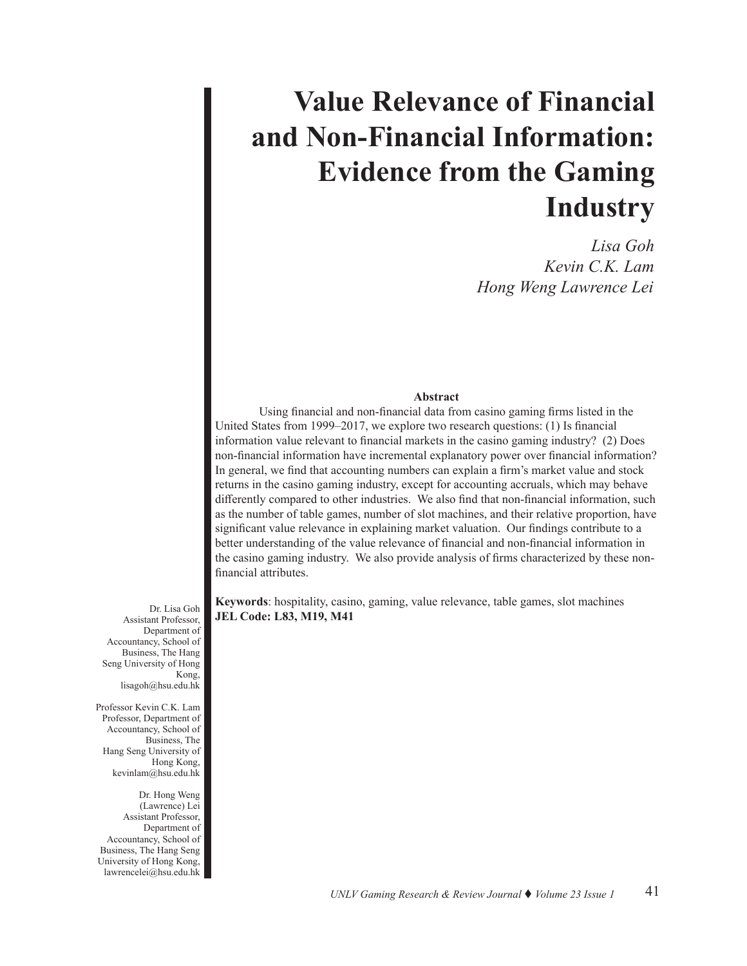# **Value Relevance of Financial and Non-Financial Information: Evidence from the Gaming Industry**

 *Lisa Goh Kevin C.K. Lam Hong Weng Lawrence Lei*

# **Abstract**

Using financial and non-financial data from casino gaming firms listed in the United States from 1999–2017, we explore two research questions: (1) Is financial information value relevant to financial markets in the casino gaming industry? (2) Does non-financial information have incremental explanatory power over financial information? In general, we find that accounting numbers can explain a firm's market value and stock returns in the casino gaming industry, except for accounting accruals, which may behave differently compared to other industries. We also find that non-financial information, such as the number of table games, number of slot machines, and their relative proportion, have significant value relevance in explaining market valuation. Our findings contribute to a better understanding of the value relevance of financial and non-financial information in the casino gaming industry. We also provide analysis of firms characterized by these nonfinancial attributes.

**Keywords**: hospitality, casino, gaming, value relevance, table games, slot machines **JEL Code: L83, M19, M41** 

Dr. Lisa Goh Assistant Professor, Department of Accountancy, School of Business, The Hang Seng University of Hong Kong, lisagoh@hsu.edu.hk

Professor Kevin C.K. Lam Professor, Department of Accountancy, School of Business, The Hang Seng University of Hong Kong, kevinlam@hsu.edu.hk

Dr. Hong Weng (Lawrence) Lei Assistant Professor, Department of Accountancy, School of Business, The Hang Seng University of Hong Kong, lawrencelei@hsu.edu.hk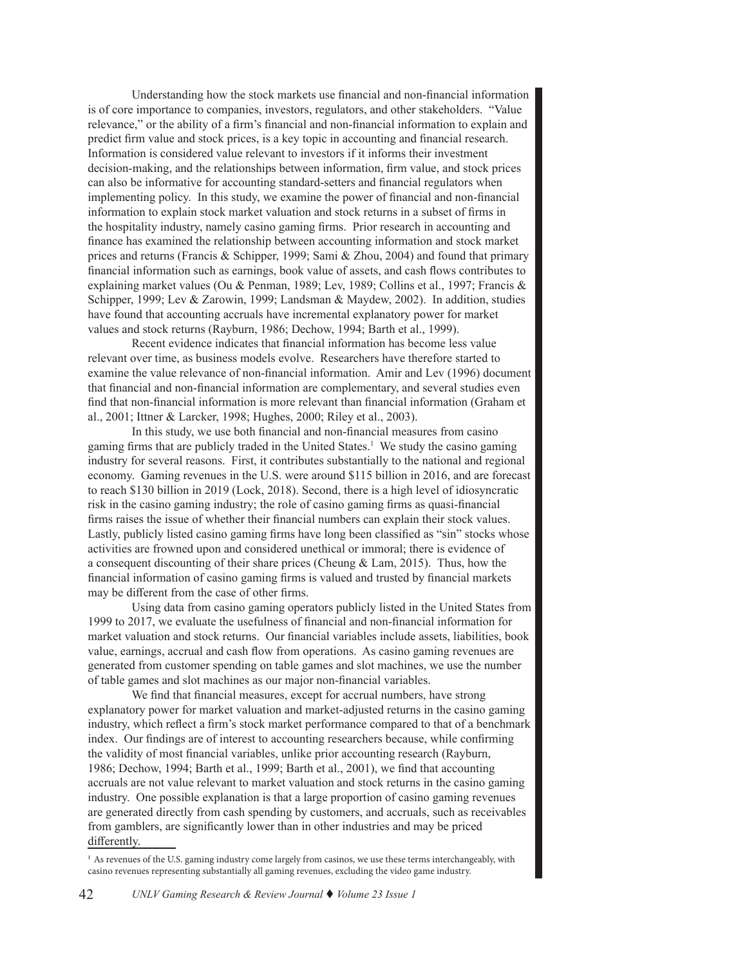Understanding how the stock markets use financial and non-financial information is of core importance to companies, investors, regulators, and other stakeholders. "Value relevance," or the ability of a firm's financial and non-financial information to explain and predict firm value and stock prices, is a key topic in accounting and financial research. Information is considered value relevant to investors if it informs their investment decision-making, and the relationships between information, firm value, and stock prices can also be informative for accounting standard-setters and financial regulators when implementing policy. In this study, we examine the power of financial and non-financial information to explain stock market valuation and stock returns in a subset of firms in the hospitality industry, namely casino gaming firms. Prior research in accounting and finance has examined the relationship between accounting information and stock market prices and returns (Francis & Schipper, 1999; Sami & Zhou, 2004) and found that primary financial information such as earnings, book value of assets, and cash flows contributes to explaining market values (Ou & Penman, 1989; Lev, 1989; Collins et al., 1997; Francis & Schipper, 1999; Lev & Zarowin, 1999; Landsman & Maydew, 2002). In addition, studies have found that accounting accruals have incremental explanatory power for market values and stock returns (Rayburn, 1986; Dechow, 1994; Barth et al., 1999).

Recent evidence indicates that financial information has become less value relevant over time, as business models evolve. Researchers have therefore started to examine the value relevance of non-financial information. Amir and Lev (1996) document that financial and non-financial information are complementary, and several studies even find that non-financial information is more relevant than financial information (Graham et al., 2001; Ittner & Larcker, 1998; Hughes, 2000; Riley et al., 2003).

In this study, we use both financial and non-financial measures from casino gaming firms that are publicly traded in the United States.<sup>1</sup> We study the casino gaming industry for several reasons. First, it contributes substantially to the national and regional economy. Gaming revenues in the U.S. were around \$115 billion in 2016, and are forecast to reach \$130 billion in 2019 (Lock, 2018). Second, there is a high level of idiosyncratic risk in the casino gaming industry; the role of casino gaming firms as quasi-financial firms raises the issue of whether their financial numbers can explain their stock values. Lastly, publicly listed casino gaming firms have long been classified as "sin" stocks whose activities are frowned upon and considered unethical or immoral; there is evidence of a consequent discounting of their share prices (Cheung & Lam, 2015). Thus, how the financial information of casino gaming firms is valued and trusted by financial markets may be different from the case of other firms.

Using data from casino gaming operators publicly listed in the United States from 1999 to 2017, we evaluate the usefulness of financial and non-financial information for market valuation and stock returns. Our financial variables include assets, liabilities, book value, earnings, accrual and cash flow from operations. As casino gaming revenues are generated from customer spending on table games and slot machines, we use the number of table games and slot machines as our major non-financial variables.

We find that financial measures, except for accrual numbers, have strong explanatory power for market valuation and market-adjusted returns in the casino gaming industry, which reflect a firm's stock market performance compared to that of a benchmark index. Our findings are of interest to accounting researchers because, while confirming the validity of most financial variables, unlike prior accounting research (Rayburn, 1986; Dechow, 1994; Barth et al., 1999; Barth et al., 2001), we find that accounting accruals are not value relevant to market valuation and stock returns in the casino gaming industry. One possible explanation is that a large proportion of casino gaming revenues are generated directly from cash spending by customers, and accruals, such as receivables from gamblers, are significantly lower than in other industries and may be priced differently.

<sup>1</sup> As revenues of the U.S. gaming industry come largely from casinos, we use these terms interchangeably, with casino revenues representing substantially all gaming revenues, excluding the video game industry.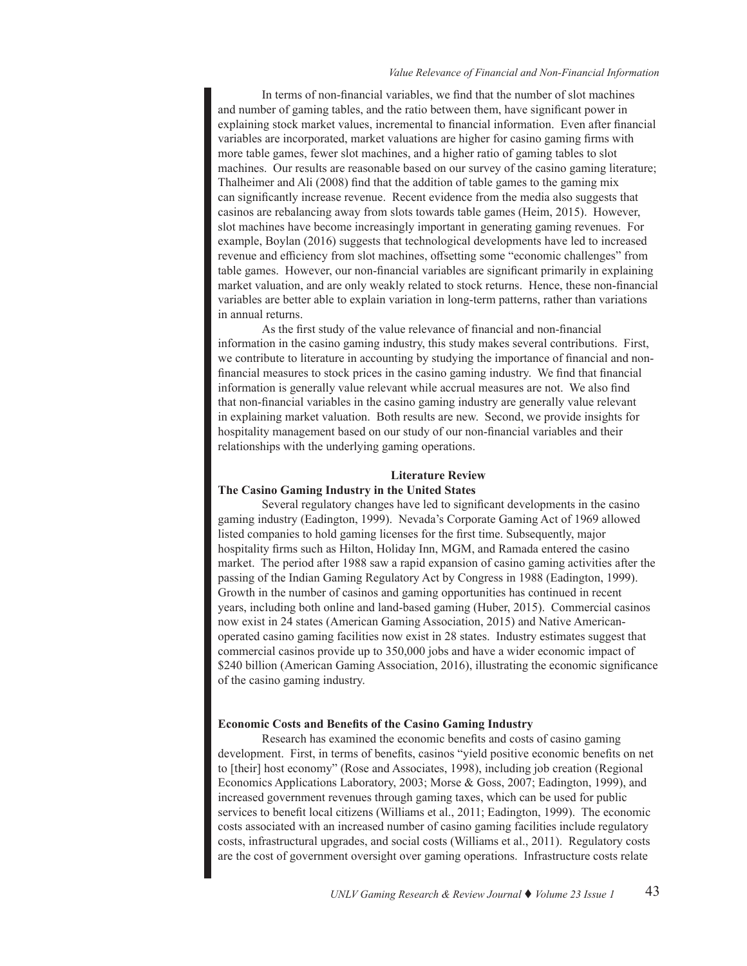#### *Value Relevance of Financial and Non-Financial Information*

In terms of non-financial variables, we find that the number of slot machines and number of gaming tables, and the ratio between them, have significant power in explaining stock market values, incremental to financial information. Even after financial variables are incorporated, market valuations are higher for casino gaming firms with more table games, fewer slot machines, and a higher ratio of gaming tables to slot machines. Our results are reasonable based on our survey of the casino gaming literature; Thalheimer and Ali (2008) find that the addition of table games to the gaming mix can significantly increase revenue. Recent evidence from the media also suggests that casinos are rebalancing away from slots towards table games (Heim, 2015). However, slot machines have become increasingly important in generating gaming revenues. For example, Boylan (2016) suggests that technological developments have led to increased revenue and efficiency from slot machines, offsetting some "economic challenges" from table games. However, our non-financial variables are significant primarily in explaining market valuation, and are only weakly related to stock returns. Hence, these non-financial variables are better able to explain variation in long-term patterns, rather than variations in annual returns.

As the first study of the value relevance of financial and non-financial information in the casino gaming industry, this study makes several contributions. First, we contribute to literature in accounting by studying the importance of financial and nonfinancial measures to stock prices in the casino gaming industry. We find that financial information is generally value relevant while accrual measures are not. We also find that non-financial variables in the casino gaming industry are generally value relevant in explaining market valuation. Both results are new. Second, we provide insights for hospitality management based on our study of our non-financial variables and their relationships with the underlying gaming operations.

# **Literature Review**

# **The Casino Gaming Industry in the United States**

Several regulatory changes have led to significant developments in the casino gaming industry (Eadington, 1999). Nevada's Corporate Gaming Act of 1969 allowed listed companies to hold gaming licenses for the first time. Subsequently, major hospitality firms such as Hilton, Holiday Inn, MGM, and Ramada entered the casino market. The period after 1988 saw a rapid expansion of casino gaming activities after the passing of the Indian Gaming Regulatory Act by Congress in 1988 (Eadington, 1999). Growth in the number of casinos and gaming opportunities has continued in recent years, including both online and land-based gaming (Huber, 2015). Commercial casinos now exist in 24 states (American Gaming Association, 2015) and Native Americanoperated casino gaming facilities now exist in 28 states. Industry estimates suggest that commercial casinos provide up to 350,000 jobs and have a wider economic impact of \$240 billion (American Gaming Association, 2016), illustrating the economic significance of the casino gaming industry.

#### **Economic Costs and Benefits of the Casino Gaming Industry**

Research has examined the economic benefits and costs of casino gaming development. First, in terms of benefits, casinos "yield positive economic benefits on net to [their] host economy" (Rose and Associates, 1998), including job creation (Regional Economics Applications Laboratory, 2003; Morse & Goss, 2007; Eadington, 1999), and increased government revenues through gaming taxes, which can be used for public services to benefit local citizens (Williams et al., 2011; Eadington, 1999). The economic costs associated with an increased number of casino gaming facilities include regulatory costs, infrastructural upgrades, and social costs (Williams et al., 2011). Regulatory costs are the cost of government oversight over gaming operations. Infrastructure costs relate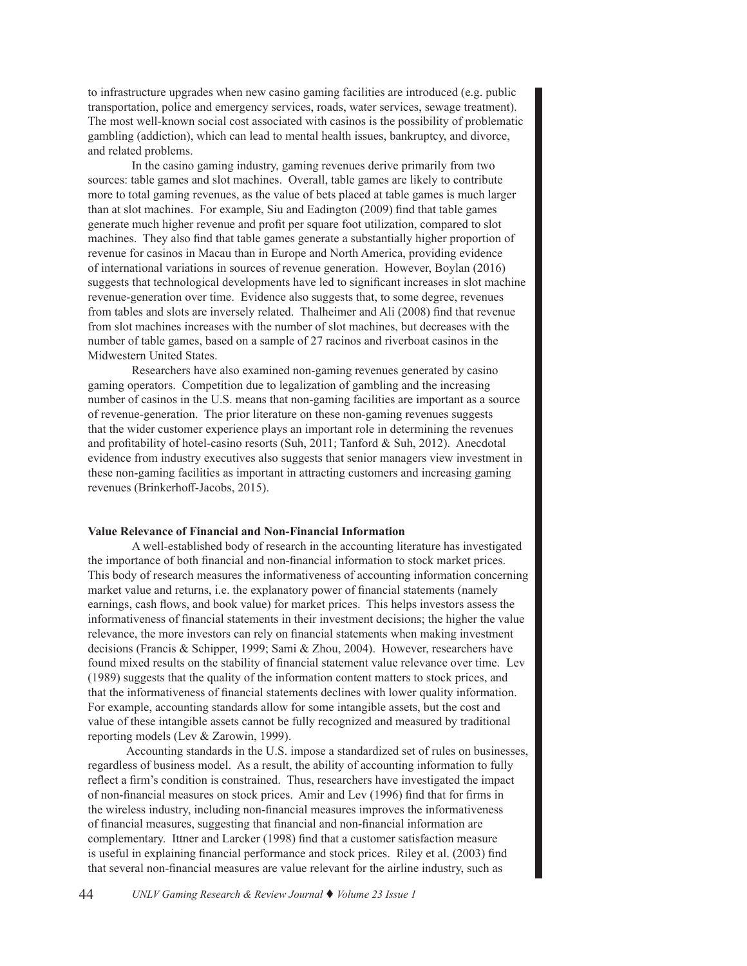to infrastructure upgrades when new casino gaming facilities are introduced (e.g. public transportation, police and emergency services, roads, water services, sewage treatment). The most well-known social cost associated with casinos is the possibility of problematic gambling (addiction), which can lead to mental health issues, bankruptcy, and divorce, and related problems.

In the casino gaming industry, gaming revenues derive primarily from two sources: table games and slot machines. Overall, table games are likely to contribute more to total gaming revenues, as the value of bets placed at table games is much larger than at slot machines. For example, Siu and Eadington (2009) find that table games generate much higher revenue and profit per square foot utilization, compared to slot machines. They also find that table games generate a substantially higher proportion of revenue for casinos in Macau than in Europe and North America, providing evidence of international variations in sources of revenue generation. However, Boylan (2016) suggests that technological developments have led to significant increases in slot machine revenue-generation over time. Evidence also suggests that, to some degree, revenues from tables and slots are inversely related. Thalheimer and Ali (2008) find that revenue from slot machines increases with the number of slot machines, but decreases with the number of table games, based on a sample of 27 racinos and riverboat casinos in the Midwestern United States.

Researchers have also examined non-gaming revenues generated by casino gaming operators. Competition due to legalization of gambling and the increasing number of casinos in the U.S. means that non-gaming facilities are important as a source of revenue-generation. The prior literature on these non-gaming revenues suggests that the wider customer experience plays an important role in determining the revenues and profitability of hotel-casino resorts (Suh, 2011; Tanford & Suh, 2012). Anecdotal evidence from industry executives also suggests that senior managers view investment in these non-gaming facilities as important in attracting customers and increasing gaming revenues (Brinkerhoff-Jacobs, 2015).

#### **Value Relevance of Financial and Non-Financial Information**

A well-established body of research in the accounting literature has investigated the importance of both financial and non-financial information to stock market prices. This body of research measures the informativeness of accounting information concerning market value and returns, i.e. the explanatory power of financial statements (namely earnings, cash flows, and book value) for market prices. This helps investors assess the informativeness of financial statements in their investment decisions; the higher the value relevance, the more investors can rely on financial statements when making investment decisions (Francis & Schipper, 1999; Sami & Zhou, 2004). However, researchers have found mixed results on the stability of financial statement value relevance over time. Lev (1989) suggests that the quality of the information content matters to stock prices, and that the informativeness of financial statements declines with lower quality information. For example, accounting standards allow for some intangible assets, but the cost and value of these intangible assets cannot be fully recognized and measured by traditional reporting models (Lev & Zarowin, 1999).

Accounting standards in the U.S. impose a standardized set of rules on businesses, regardless of business model. As a result, the ability of accounting information to fully reflect a firm's condition is constrained. Thus, researchers have investigated the impact of non-financial measures on stock prices. Amir and Lev (1996) find that for firms in the wireless industry, including non-financial measures improves the informativeness of financial measures, suggesting that financial and non-financial information are complementary. Ittner and Larcker (1998) find that a customer satisfaction measure is useful in explaining financial performance and stock prices. Riley et al. (2003) find that several non-financial measures are value relevant for the airline industry, such as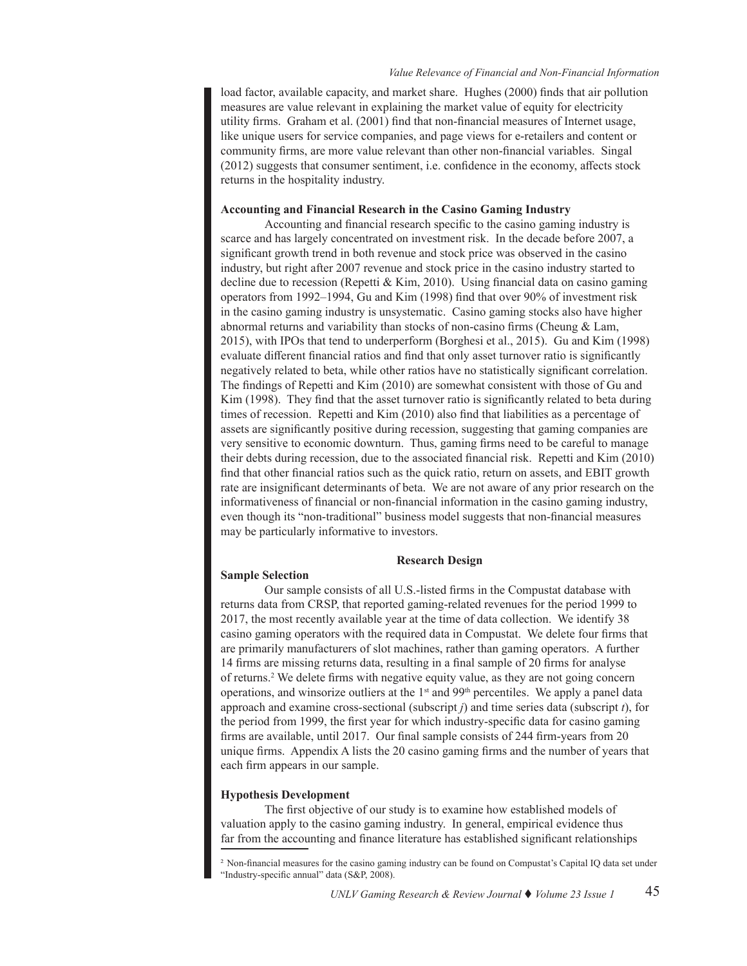### *Value Relevance of Financial and Non-Financial Information*

load factor, available capacity, and market share. Hughes (2000) finds that air pollution measures are value relevant in explaining the market value of equity for electricity utility firms. Graham et al. (2001) find that non-financial measures of Internet usage, like unique users for service companies, and page views for e-retailers and content or community firms, are more value relevant than other non-financial variables. Singal (2012) suggests that consumer sentiment, i.e. confidence in the economy, affects stock returns in the hospitality industry.

# **Accounting and Financial Research in the Casino Gaming Industry**

Accounting and financial research specific to the casino gaming industry is scarce and has largely concentrated on investment risk. In the decade before 2007, a significant growth trend in both revenue and stock price was observed in the casino industry, but right after 2007 revenue and stock price in the casino industry started to decline due to recession (Repetti & Kim, 2010). Using financial data on casino gaming operators from 1992–1994, Gu and Kim (1998) find that over 90% of investment risk in the casino gaming industry is unsystematic. Casino gaming stocks also have higher abnormal returns and variability than stocks of non-casino firms (Cheung & Lam, 2015), with IPOs that tend to underperform (Borghesi et al., 2015). Gu and Kim (1998) evaluate different financial ratios and find that only asset turnover ratio is significantly negatively related to beta, while other ratios have no statistically significant correlation. The findings of Repetti and Kim (2010) are somewhat consistent with those of Gu and Kim (1998). They find that the asset turnover ratio is significantly related to beta during times of recession. Repetti and Kim (2010) also find that liabilities as a percentage of assets are significantly positive during recession, suggesting that gaming companies are very sensitive to economic downturn. Thus, gaming firms need to be careful to manage their debts during recession, due to the associated financial risk. Repetti and Kim (2010) find that other financial ratios such as the quick ratio, return on assets, and EBIT growth rate are insignificant determinants of beta. We are not aware of any prior research on the informativeness of financial or non-financial information in the casino gaming industry, even though its "non-traditional" business model suggests that non-financial measures may be particularly informative to investors.

# **Research Design**

#### **Sample Selection**

Our sample consists of all U.S.-listed firms in the Compustat database with returns data from CRSP, that reported gaming-related revenues for the period 1999 to 2017, the most recently available year at the time of data collection. We identify 38 casino gaming operators with the required data in Compustat. We delete four firms that are primarily manufacturers of slot machines, rather than gaming operators. A further 14 firms are missing returns data, resulting in a final sample of 20 firms for analyse of returns.2 We delete firms with negative equity value, as they are not going concern operations, and winsorize outliers at the  $1<sup>st</sup>$  and 99<sup>th</sup> percentiles. We apply a panel data approach and examine cross-sectional (subscript *j*) and time series data (subscript *t*), for the period from 1999, the first year for which industry-specific data for casino gaming firms are available, until 2017. Our final sample consists of 244 firm-years from 20 unique firms. Appendix A lists the 20 casino gaming firms and the number of years that each firm appears in our sample.

#### **Hypothesis Development**

The first objective of our study is to examine how established models of valuation apply to the casino gaming industry. In general, empirical evidence thus far from the accounting and finance literature has established significant relationships

<sup>2</sup> Non-financial measures for the casino gaming industry can be found on Compustat's Capital IQ data set under "Industry-specific annual" data (S&P, 2008).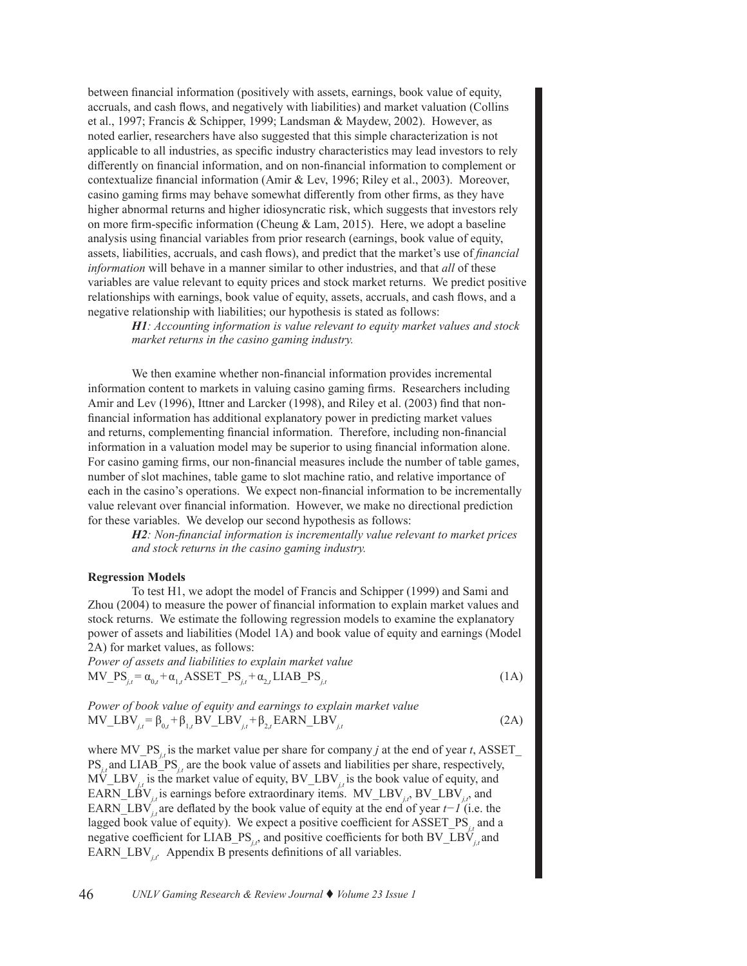between financial information (positively with assets, earnings, book value of equity, accruals, and cash flows, and negatively with liabilities) and market valuation (Collins et al., 1997; Francis & Schipper, 1999; Landsman & Maydew, 2002). However, as noted earlier, researchers have also suggested that this simple characterization is not applicable to all industries, as specific industry characteristics may lead investors to rely differently on financial information, and on non-financial information to complement or contextualize financial information (Amir & Lev, 1996; Riley et al., 2003). Moreover, casino gaming firms may behave somewhat differently from other firms, as they have higher abnormal returns and higher idiosyncratic risk, which suggests that investors rely on more firm-specific information (Cheung & Lam, 2015). Here, we adopt a baseline analysis using financial variables from prior research (earnings, book value of equity, assets, liabilities, accruals, and cash flows), and predict that the market's use of *financial information* will behave in a manner similar to other industries, and that *all* of these variables are value relevant to equity prices and stock market returns. We predict positive relationships with earnings, book value of equity, assets, accruals, and cash flows, and a negative relationship with liabilities; our hypothesis is stated as follows:

*H1: Accounting information is value relevant to equity market values and stock market returns in the casino gaming industry.* 

We then examine whether non-financial information provides incremental information content to markets in valuing casino gaming firms. Researchers including Amir and Lev (1996), Ittner and Larcker (1998), and Riley et al. (2003) find that nonfinancial information has additional explanatory power in predicting market values and returns, complementing financial information. Therefore, including non-financial information in a valuation model may be superior to using financial information alone. For casino gaming firms, our non-financial measures include the number of table games, number of slot machines, table game to slot machine ratio, and relative importance of each in the casino's operations. We expect non-financial information to be incrementally value relevant over financial information. However, we make no directional prediction for these variables. We develop our second hypothesis as follows:

> *H2: Non-financial information is incrementally value relevant to market prices and stock returns in the casino gaming industry.*

#### **Regression Models**

To test H1, we adopt the model of Francis and Schipper (1999) and Sami and Zhou (2004) to measure the power of financial information to explain market values and stock returns. We estimate the following regression models to examine the explanatory power of assets and liabilities (Model 1A) and book value of equity and earnings (Model 2A) for market values, as follows:

*Power of assets and liabilities to explain market value*  $MV_PS_{j,t} = \alpha_{0,t} + \alpha_{1,t} ASSET_PS_{j,t} + \alpha_{2,t} ILAB_PS_{j,t}$  (1A)

Power of book value of equity and earnings to explain market value  
MV\_LBV<sub>*i,t*</sub> = 
$$
\beta_{0,t} + \beta_{1,t}
$$
BV\_LBV<sub>*i,t*</sub> +  $\beta_{2,t}$ EARN\_LBV<sub>*i,t*</sub> (2A)

where  $MV\_PS_{i,t}$  is the market value per share for company *j* at the end of year *t*, ASSET PS<sub>*j*</sub> and LIAB\_PS<sub>*j*</sub> are the book value of assets and liabilities per share, respectively,  $M_V^T LBV_{i,t}$  is the market value of equity,  $BV_L^T LBV_{i,t}$  is the book value of equity, and EARN\_LBV<sub>*it*</sub> is earnings before extraordinary items. MV\_LBV<sub>it</sub>, BV\_LBV<sub>it</sub>, and EARN\_LBV*j,t* are deflated by the book value of equity at the end of year *t−1* (i.e. the lagged book value of equity). We expect a positive coefficient for ASSET PS<sub>j</sub>, and a negative coefficient for LIAB\_PS<sub>*i,t*</sub></sub>, and positive coefficients for both BV\_LBV<sub>*i*t</sub></sub> and EARN\_LBV<sub>it</sub>. Appendix B presents definitions of all variables.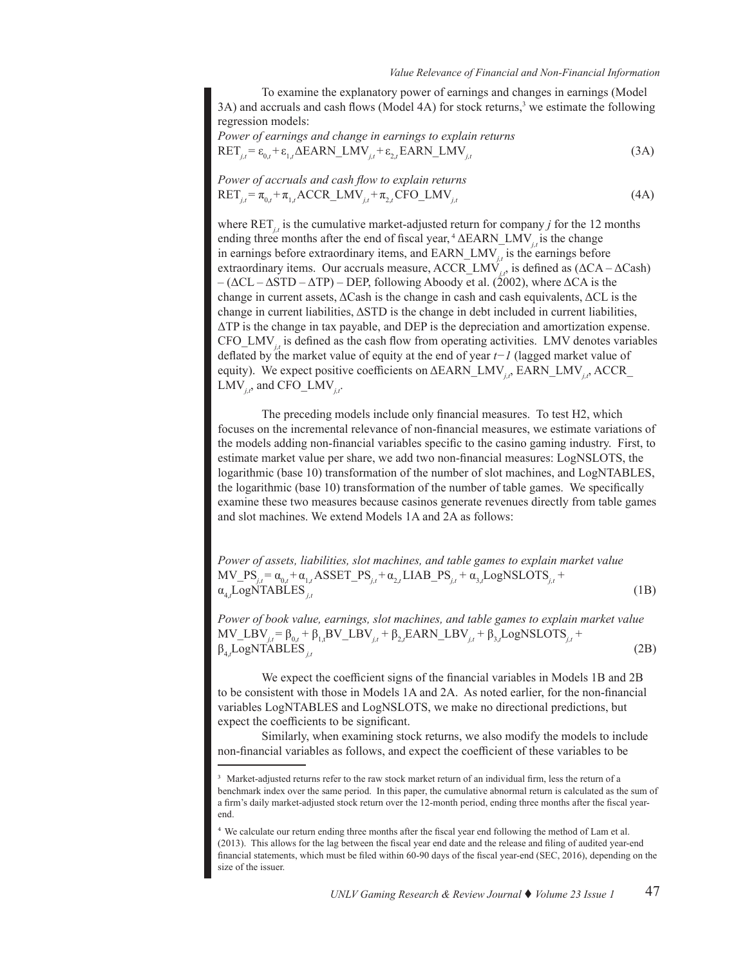To examine the explanatory power of earnings and changes in earnings (Model 3A) and accruals and cash flows (Model 4A) for stock returns,<sup>3</sup> we estimate the following regression models:

Power of earnings and change in earnings to explain returns  

$$
RET_{j,t} = \varepsilon_{0,t} + \varepsilon_{1,t} \Delta EARN\_LMV_{j,t} + \varepsilon_{2,t} EARN\_LMV_{j,t}
$$
 (3A)

Power of accruals and cash flow to explain returns  
\n
$$
RET_{j,t} = \pi_{0,t} + \pi_{1,t} ACCR_LMN_{j,t} + \pi_{2,t} CFO_LMN_{j,t}
$$
\n(4A)

where  $\text{RET}_{i,t}$  is the cumulative market-adjusted return for company *j* for the 12 months ending three months after the end of fiscal year, <sup>4</sup> ΔEARN\_LMV*j,t* is the change in earnings before extraordinary items, and EARN\_LMV*j,t* is the earnings before extraordinary items. Our accruals measure, ACCR\_LMV<sub>j,t</sub>, is defined as (ΔCA – ΔCash)  $-(\Delta CL - \Delta STD - \Delta TP) - DEP$ , following Aboody et al. (2002), where  $\Delta CA$  is the change in current assets, ΔCash is the change in cash and cash equivalents, ΔCL is the change in current liabilities, ΔSTD is the change in debt included in current liabilities, ΔTP is the change in tax payable, and DEP is the depreciation and amortization expense. CFO $\text{LMV}_{i}$  is defined as the cash flow from operating activities. LMV denotes variables deflated by the market value of equity at the end of year *t−1* (lagged market value of equity). We expect positive coefficients on ΔEARN\_LMV<sub>*i*</sub>, EARN\_LMV<sub>*i*</sub>, ACCR\_ LMV $_{it}$ , and CFO\_LMV $_{it}$ .

The preceding models include only financial measures. To test H2, which focuses on the incremental relevance of non-financial measures, we estimate variations of the models adding non-financial variables specific to the casino gaming industry. First, to estimate market value per share, we add two non-financial measures: LogNSLOTS, the logarithmic (base 10) transformation of the number of slot machines, and LogNTABLES, the logarithmic (base 10) transformation of the number of table games. We specifically examine these two measures because casinos generate revenues directly from table games and slot machines. We extend Models 1A and 2A as follows:

*Power of assets, liabilities, slot machines, and table games to explain market value*  $MV\_PS_{j,t} = \alpha_{0,t} + \alpha_{1,t} ASSET\_PS_{j,t} + \alpha_{2,t} LIAB\_PS_{j,t} + \alpha_{3,t} LogNSLOTS_{j,t} +$  $\alpha_{4,t}$ LogNTABLES<sub>*j,t*</sub></sub> (1B)

*Power of book value, earnings, slot machines, and table games to explain market value*  $MV\_LBV_{j,t} = β_{0,t} + β_{1,t}BV\_LBV_{j,t} + β_{2,t}EARN\_LBV_{j,t} + β_{3,t}LogNSLOTS_{j,t} +$  $\beta_{4}$ *L*ogNTABLES<sub>*it*</sub> LogNTABLES *j,t* (2B)

We expect the coefficient signs of the financial variables in Models 1B and 2B to be consistent with those in Models 1A and 2A. As noted earlier, for the non-financial variables LogNTABLES and LogNSLOTS, we make no directional predictions, but expect the coefficients to be significant.

Similarly, when examining stock returns, we also modify the models to include non-financial variables as follows, and expect the coefficient of these variables to be

<sup>&</sup>lt;sup>3</sup> Market-adjusted returns refer to the raw stock market return of an individual firm, less the return of a benchmark index over the same period. In this paper, the cumulative abnormal return is calculated as the sum of a firm's daily market-adjusted stock return over the 12-month period, ending three months after the fiscal yearend.

⁴ We calculate our return ending three months after the fiscal year end following the method of Lam et al. (2013). This allows for the lag between the fiscal year end date and the release and filing of audited year-end financial statements, which must be filed within 60-90 days of the fiscal year-end (SEC, 2016), depending on the size of the issuer.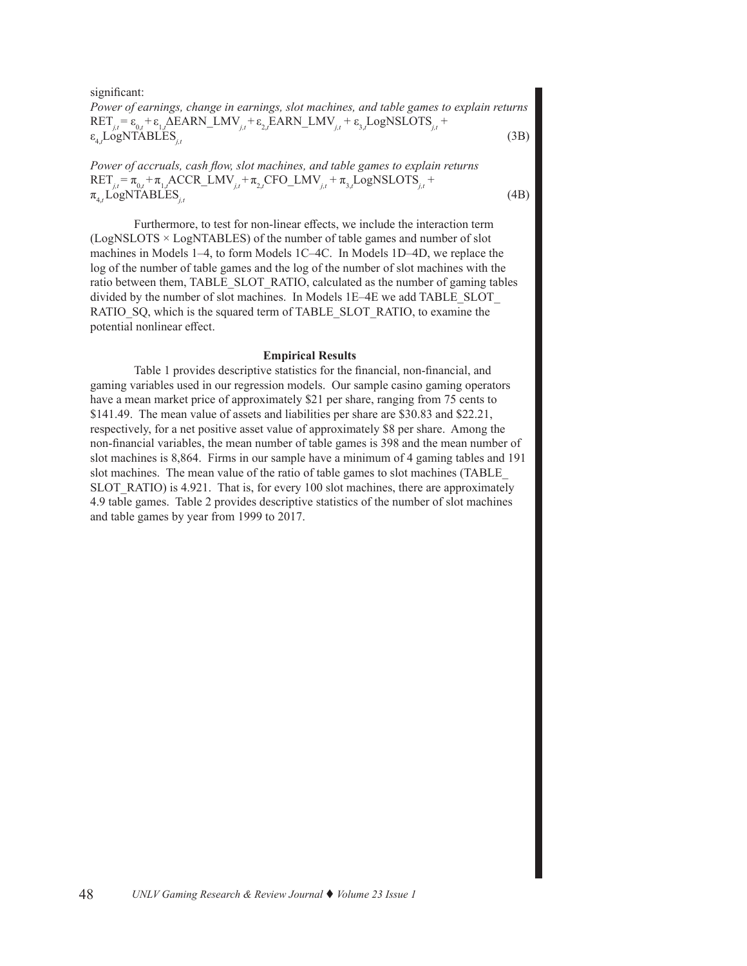significant: *Power of earnings, change in earnings, slot machines, and table games to explain returns*  $RET_{j,t} = \varepsilon_{0,t} + \varepsilon_{1,t} \Delta EARN\_LMV_{j,t} + \varepsilon_{2,t} EARN\_LMV_{j,t} + \varepsilon_{3,t} LogNSLOTS_{j,t} +$  $\varepsilon_{4,t}$ LogNTABLES<sub>*j,t*</sub> (3B)

*Power of accruals, cash flow, slot machines, and table games to explain returns*  $RET_{j,t} = \pi_{0,t} + \pi_{1,t} ACCR\_LMV_{j,t} + \pi_{2,t} CFO\_LMV_{j,t} + \pi_{3,t} LogNSLOTS_{j,t} +$  $\pi_{4,t}$  LogNTABLES<sub>*j,t*</sub> (4B)

Furthermore, to test for non-linear effects, we include the interaction term (LogNSLOTS × LogNTABLES) of the number of table games and number of slot machines in Models 1–4, to form Models 1C–4C. In Models 1D–4D, we replace the log of the number of table games and the log of the number of slot machines with the ratio between them, TABLE\_SLOT\_RATIO, calculated as the number of gaming tables divided by the number of slot machines. In Models 1E–4E we add TABLE\_SLOT RATIO\_SQ, which is the squared term of TABLE\_SLOT\_RATIO, to examine the potential nonlinear effect.

#### **Empirical Results**

Table 1 provides descriptive statistics for the financial, non-financial, and gaming variables used in our regression models. Our sample casino gaming operators have a mean market price of approximately \$21 per share, ranging from 75 cents to \$141.49. The mean value of assets and liabilities per share are \$30.83 and \$22.21, respectively, for a net positive asset value of approximately \$8 per share. Among the non-financial variables, the mean number of table games is 398 and the mean number of slot machines is 8,864. Firms in our sample have a minimum of 4 gaming tables and 191 slot machines. The mean value of the ratio of table games to slot machines (TABLE\_ SLOT RATIO) is 4.921. That is, for every 100 slot machines, there are approximately 4.9 table games. Table 2 provides descriptive statistics of the number of slot machines and table games by year from 1999 to 2017.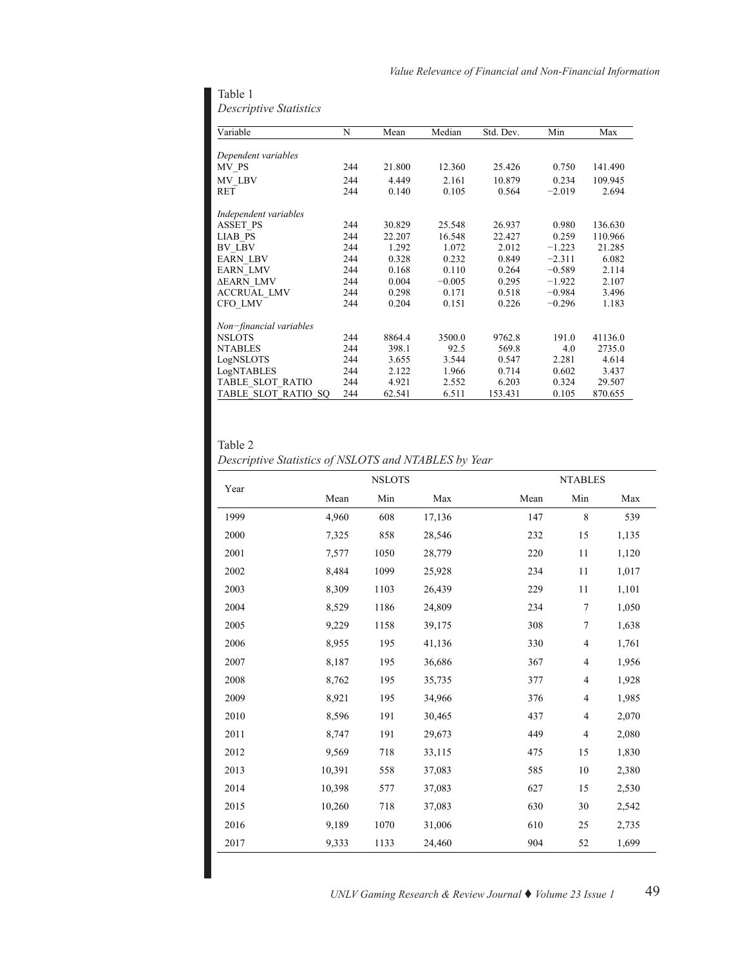| Variable                | N   | Mean   | Median   | Std. Dev. | Min      | Max     |
|-------------------------|-----|--------|----------|-----------|----------|---------|
|                         |     |        |          |           |          |         |
| Dependent variables     |     |        |          |           |          |         |
| MV PS                   | 244 | 21.800 | 12.360   | 25.426    | 0.750    | 141.490 |
| MV LBV                  | 244 | 4.449  | 2.161    | 10.879    | 0.234    | 109.945 |
| <b>RET</b>              | 244 | 0.140  | 0.105    | 0.564     | $-2.019$ | 2.694   |
| Independent variables   |     |        |          |           |          |         |
| <b>ASSET PS</b>         | 244 | 30.829 | 25.548   | 26.937    | 0.980    | 136.630 |
| <b>LIAB PS</b>          | 244 | 22.207 | 16.548   | 22.427    | 0.259    | 110.966 |
| BV LBV                  | 244 | 1.292  | 1.072    | 2.012     | $-1.223$ | 21.285  |
| <b>EARN LBV</b>         | 244 | 0.328  | 0.232    | 0.849     | $-2.311$ | 6.082   |
| <b>EARN LMV</b>         | 244 | 0.168  | 0.110    | 0.264     | $-0.589$ | 2.114   |
| <b>AEARN_LMV</b>        | 244 | 0.004  | $-0.005$ | 0.295     | $-1.922$ | 2.107   |
| <b>ACCRUAL LMV</b>      | 244 | 0.298  | 0.171    | 0.518     | $-0.984$ | 3.496   |
| CFO LMV                 | 244 | 0.204  | 0.151    | 0.226     | $-0.296$ | 1.183   |
| Non-financial variables |     |        |          |           |          |         |
| <b>NSLOTS</b>           | 244 | 8864.4 | 3500.0   | 9762.8    | 191.0    | 41136.0 |
| <b>NTABLES</b>          | 244 | 398.1  | 92.5     | 569.8     | 4.0      | 2735.0  |
| LogNSLOTS               | 244 | 3.655  | 3.544    | 0.547     | 2.281    | 4.614   |
| LogNTABLES              | 244 | 2.122  | 1.966    | 0.714     | 0.602    | 3.437   |
| TABLE SLOT RATIO        | 244 | 4.921  | 2.552    | 6.203     | 0.324    | 29.507  |
| TABLE SLOT RATIO SO     | 244 | 62.541 | 6.511    | 153.431   | 0.105    | 870.655 |

Table 1 *Descriptive Statistics*

Table 2

|  | Descriptive Statistics of NSLOTS and NTABLES by Year |  |
|--|------------------------------------------------------|--|
|--|------------------------------------------------------|--|

|      |        | <b>NSLOTS</b> |        |      | <b>NTABLES</b>           |       |
|------|--------|---------------|--------|------|--------------------------|-------|
| Year | Mean   | Min           | Max    | Mean | Min                      | Max   |
| 1999 | 4,960  | 608           | 17,136 | 147  | 8                        | 539   |
| 2000 | 7,325  | 858           | 28,546 | 232  | 15                       | 1,135 |
| 2001 | 7,577  | 1050          | 28,779 | 220  | 11                       | 1,120 |
| 2002 | 8,484  | 1099          | 25,928 | 234  | 11                       | 1,017 |
| 2003 | 8,309  | 1103          | 26,439 | 229  | 11                       | 1,101 |
| 2004 | 8,529  | 1186          | 24,809 | 234  | 7                        | 1,050 |
| 2005 | 9,229  | 1158          | 39,175 | 308  | 7                        | 1,638 |
| 2006 | 8,955  | 195           | 41,136 | 330  | $\overline{4}$           | 1,761 |
| 2007 | 8,187  | 195           | 36,686 | 367  | 4                        | 1,956 |
| 2008 | 8,762  | 195           | 35,735 | 377  | $\overline{4}$           | 1,928 |
| 2009 | 8,921  | 195           | 34,966 | 376  | 4                        | 1,985 |
| 2010 | 8,596  | 191           | 30,465 | 437  | $\overline{\mathcal{L}}$ | 2,070 |
| 2011 | 8,747  | 191           | 29,673 | 449  | $\overline{4}$           | 2,080 |
| 2012 | 9,569  | 718           | 33,115 | 475  | 15                       | 1,830 |
| 2013 | 10,391 | 558           | 37,083 | 585  | 10                       | 2,380 |
| 2014 | 10,398 | 577           | 37,083 | 627  | 15                       | 2,530 |
| 2015 | 10,260 | 718           | 37,083 | 630  | 30                       | 2,542 |
| 2016 | 9,189  | 1070          | 31,006 | 610  | 25                       | 2,735 |
| 2017 | 9,333  | 1133          | 24,460 | 904  | 52                       | 1,699 |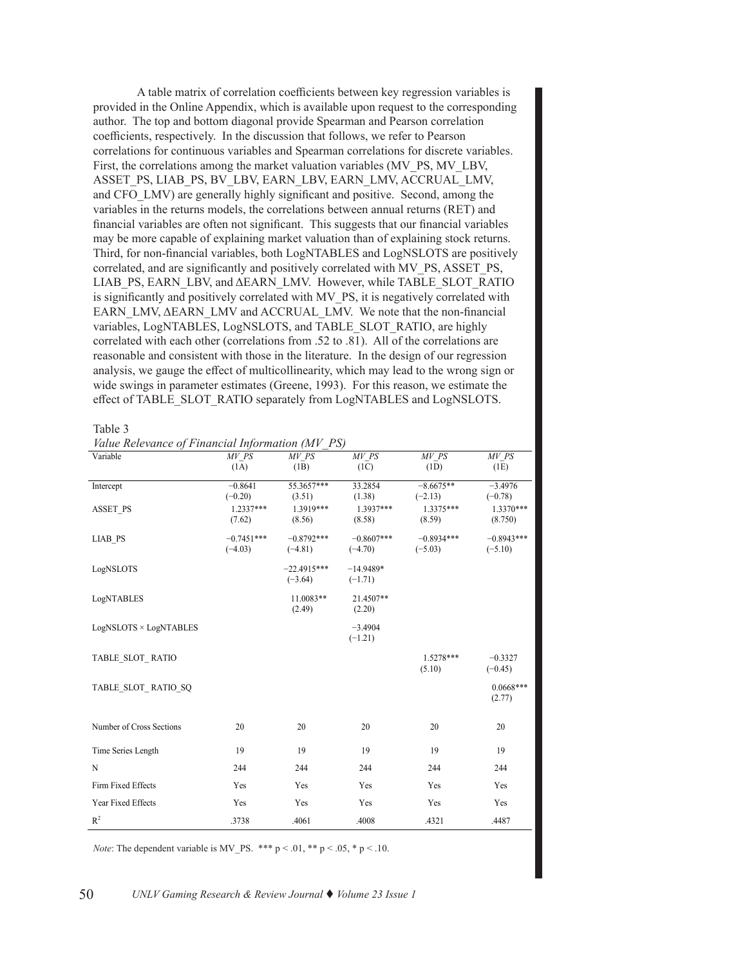A table matrix of correlation coefficients between key regression variables is provided in the Online Appendix, which is available upon request to the corresponding author. The top and bottom diagonal provide Spearman and Pearson correlation coefficients, respectively. In the discussion that follows, we refer to Pearson correlations for continuous variables and Spearman correlations for discrete variables. First, the correlations among the market valuation variables (MV\_PS, MV\_LBV, ASSET PS, LIAB PS, BV\_LBV, EARN\_LBV, EARN\_LMV, ACCRUAL\_LMV, and CFO\_LMV) are generally highly significant and positive. Second, among the variables in the returns models, the correlations between annual returns (RET) and financial variables are often not significant. This suggests that our financial variables may be more capable of explaining market valuation than of explaining stock returns. Third, for non-financial variables, both LogNTABLES and LogNSLOTS are positively correlated, and are significantly and positively correlated with MV\_PS, ASSET\_PS, LIAB\_PS, EARN\_LBV, and ΔEARN\_LMV. However, while TABLE\_SLOT\_RATIO is significantly and positively correlated with MV\_PS, it is negatively correlated with EARN\_LMV, ΔEARN\_LMV and ACCRUAL\_LMV. We note that the non-financial variables, LogNTABLES, LogNSLOTS, and TABLE\_SLOT\_RATIO, are highly correlated with each other (correlations from .52 to .81). All of the correlations are reasonable and consistent with those in the literature. In the design of our regression analysis, we gauge the effect of multicollinearity, which may lead to the wrong sign or wide swings in parameter estimates (Greene, 1993). For this reason, we estimate the effect of TABLE\_SLOT\_RATIO separately from LogNTABLES and LogNSLOTS.

Table 3

| Value Relevance of Financial Information (MV_PS) |  |  |
|--------------------------------------------------|--|--|
|                                                  |  |  |

| Variable                 | MV PS        | MV PS         | MV PS        | MV PS                 | MV PS                  |
|--------------------------|--------------|---------------|--------------|-----------------------|------------------------|
|                          | (1A)         | (1B)          | (1C)         | (1D)                  | (1E)                   |
| Intercept                | $-0.8641$    | 55.3657***    | 33.2854      | $-8.6675**$           | $-3.4976$              |
|                          | $(-0.20)$    | (3.51)        | (1.38)       | $(-2.13)$             | $(-0.78)$              |
| <b>ASSET PS</b>          | $1.2337***$  | 1.3919***     | 1.3937***    | 1.3375***             | 1.3370***              |
|                          | (7.62)       | (8.56)        | (8.58)       | (8.59)                | (8.750)                |
| <b>LIAB PS</b>           | $-0.7451***$ | $-0.8792***$  | $-0.8607***$ | $-0.8934***$          | $-0.8943***$           |
|                          | $(-4.03)$    | $(-4.81)$     | $(-4.70)$    | $(-5.03)$             | $(-5.10)$              |
| LogNSLOTS                |              | $-22.4915***$ | $-14.9489*$  |                       |                        |
|                          |              | $(-3.64)$     | $(-1.71)$    |                       |                        |
| LogNTABLES               |              | 11.0083**     | 21.4507**    |                       |                        |
|                          |              | (2.49)        | (2.20)       |                       |                        |
| LogNSLOTS × LogNTABLES   |              |               | $-3.4904$    |                       |                        |
|                          |              |               | $(-1.21)$    |                       |                        |
|                          |              |               |              |                       |                        |
| TABLE SLOT RATIO         |              |               |              | $1.5278***$<br>(5.10) | $-0.3327$<br>$(-0.45)$ |
|                          |              |               |              |                       |                        |
| TABLE SLOT RATIO SQ      |              |               |              |                       | $0.0668***$            |
|                          |              |               |              |                       | (2.77)                 |
|                          |              |               |              |                       |                        |
| Number of Cross Sections | 20           | 20            | 20           | 20                    | 20                     |
| Time Series Length       | 19           | 19            | 19           | 19                    | 19                     |
| N                        | 244          | 244           | 244          | 244                   | 244                    |
| Firm Fixed Effects       | Yes          | Yes           | Yes          | Yes                   | Yes                    |
| Year Fixed Effects       | Yes          | Yes           | Yes          | Yes                   | Yes                    |
| R <sup>2</sup>           | .3738        | .4061         | .4008        | .4321                 | .4487                  |

*Note*: The dependent variable is MV\_PS. \*\*\*  $p < .01$ , \*\*  $p < .05$ , \*  $p < .10$ .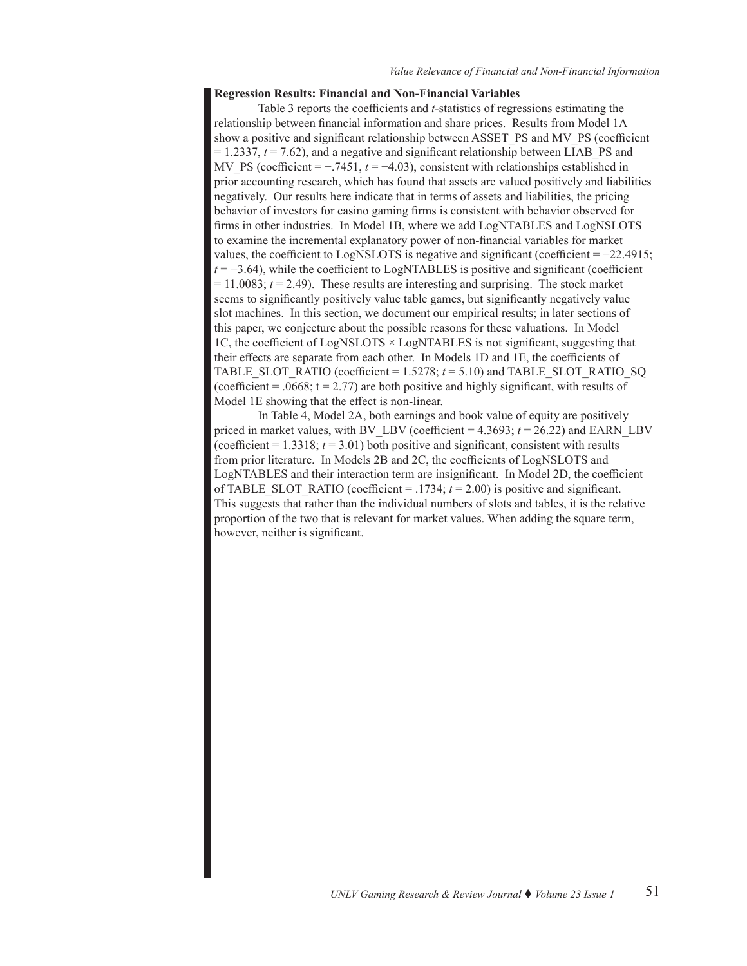# **Regression Results: Financial and Non-Financial Variables**

Table 3 reports the coefficients and *t*-statistics of regressions estimating the relationship between financial information and share prices. Results from Model 1A show a positive and significant relationship between ASSET\_PS and MV\_PS (coefficient  $= 1.2337$ ,  $t = 7.62$ ), and a negative and significant relationship between LIAB PS and MV\_PS (coefficient =  $-7451$ ,  $t = -4.03$ ), consistent with relationships established in prior accounting research, which has found that assets are valued positively and liabilities negatively. Our results here indicate that in terms of assets and liabilities, the pricing behavior of investors for casino gaming firms is consistent with behavior observed for firms in other industries. In Model 1B, where we add LogNTABLES and LogNSLOTS to examine the incremental explanatory power of non-financial variables for market values, the coefficient to LogNSLOTS is negative and significant (coefficient  $= -22.4915$ ;  $t = -3.64$ ), while the coefficient to LogNTABLES is positive and significant (coefficient  $= 11.0083$ ;  $t = 2.49$ ). These results are interesting and surprising. The stock market seems to significantly positively value table games, but significantly negatively value slot machines. In this section, we document our empirical results; in later sections of this paper, we conjecture about the possible reasons for these valuations. In Model 1C, the coefficient of LogNSLOTS × LogNTABLES is not significant, suggesting that their effects are separate from each other. In Models 1D and 1E, the coefficients of TABLE\_SLOT\_RATIO (coefficient =  $1.5278$ ;  $t = 5.10$ ) and TABLE\_SLOT\_RATIO\_SQ (coefficient =  $.0668$ ; t = 2.77) are both positive and highly significant, with results of Model 1E showing that the effect is non-linear.

In Table 4, Model 2A, both earnings and book value of equity are positively priced in market values, with BV\_LBV (coefficient  $= 4.3693$ ;  $t = 26.22$ ) and EARN\_LBV (coefficient  $= 1.3318$ ;  $t = 3.01$ ) both positive and significant, consistent with results from prior literature. In Models 2B and 2C, the coefficients of LogNSLOTS and LogNTABLES and their interaction term are insignificant. In Model 2D, the coefficient of TABLE\_SLOT\_RATIO (coefficient = .1734;  $t = 2.00$ ) is positive and significant. This suggests that rather than the individual numbers of slots and tables, it is the relative proportion of the two that is relevant for market values. When adding the square term, however, neither is significant.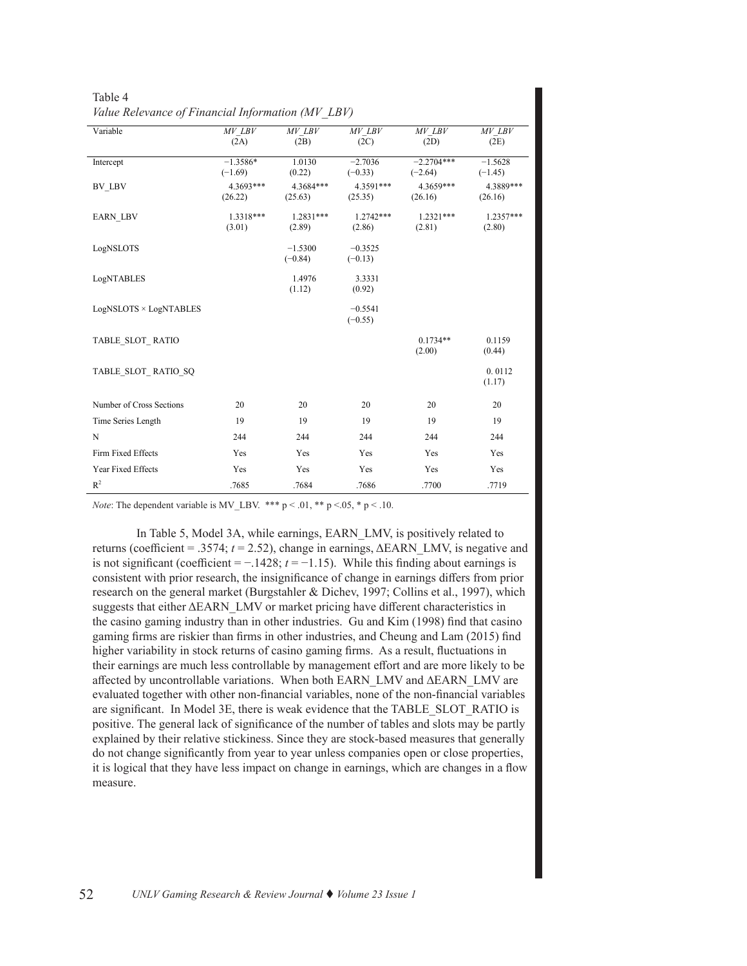| Variable                 | $MV$ $LBV$              | $MV$ $LBV$             | $MV$ $LBV$             | $MV$ $LBV$                | $MV$ $LBV$             |
|--------------------------|-------------------------|------------------------|------------------------|---------------------------|------------------------|
|                          | (2A)                    | (2B)                   | (2C)                   | (2D)                      | (2E)                   |
| Intercept                | $-1.3586*$<br>$(-1.69)$ | 1.0130<br>(0.22)       | $-2.7036$<br>$(-0.33)$ | $-2.2704***$<br>$(-2.64)$ | $-1.5628$<br>$(-1.45)$ |
| BV LBV                   | 4.3693***<br>(26.22)    | 4.3684***<br>(25.63)   | 4.3591***<br>(25.35)   | 4.3659***<br>(26.16)      | 4.3889***<br>(26.16)   |
| <b>EARN LBV</b>          | $1.3318***$<br>(3.01)   | $1.2831***$<br>(2.89)  | $1.2742***$<br>(2.86)  | $1.2321***$<br>(2.81)     | $1.2357***$<br>(2.80)  |
| LogNSLOTS                |                         | $-1.5300$<br>$(-0.84)$ | $-0.3525$<br>$(-0.13)$ |                           |                        |
| LogNTABLES               |                         | 1.4976<br>(1.12)       | 3.3331<br>(0.92)       |                           |                        |
| LogNSLOTS × LogNTABLES   |                         |                        | $-0.5541$<br>$(-0.55)$ |                           |                        |
| TABLE SLOT RATIO         |                         |                        |                        | $0.1734**$<br>(2.00)      | 0.1159<br>(0.44)       |
| TABLE SLOT RATIO SQ      |                         |                        |                        |                           | 0.0112<br>(1.17)       |
| Number of Cross Sections | 20                      | 20                     | 20                     | 20                        | 20                     |
| Time Series Length       | 19                      | 19                     | 19                     | 19                        | 19                     |
| N                        | 244                     | 244                    | 244                    | 244                       | 244                    |
| Firm Fixed Effects       | Yes                     | Yes                    | Yes                    | Yes                       | Yes                    |
| Year Fixed Effects       | Yes                     | Yes                    | Yes                    | Yes                       | Yes                    |
| R <sup>2</sup>           | .7685                   | .7684                  | .7686                  | .7700                     | .7719                  |

Table 4 *Value Relevance of Financial Information (MV\_LBV)*

*Note*: The dependent variable is MV\_LBV. \*\*\* p < .01, \*\* p <.05, \* p < .10.

In Table 5, Model 3A, while earnings, EARN\_LMV, is positively related to returns (coefficient = .3574;  $t = 2.52$ ), change in earnings,  $\Delta$ EARN LMV, is negative and is not significant (coefficient =  $-1428$ ;  $t = -1.15$ ). While this finding about earnings is consistent with prior research, the insignificance of change in earnings differs from prior research on the general market (Burgstahler & Dichev, 1997; Collins et al., 1997), which suggests that either ΔEARN\_LMV or market pricing have different characteristics in the casino gaming industry than in other industries. Gu and Kim (1998) find that casino gaming firms are riskier than firms in other industries, and Cheung and Lam (2015) find higher variability in stock returns of casino gaming firms. As a result, fluctuations in their earnings are much less controllable by management effort and are more likely to be affected by uncontrollable variations. When both EARN\_LMV and **∆**EARN\_LMV are evaluated together with other non-financial variables, none of the non-financial variables are significant. In Model 3E, there is weak evidence that the TABLE\_SLOT\_RATIO is positive. The general lack of significance of the number of tables and slots may be partly explained by their relative stickiness. Since they are stock-based measures that generally do not change significantly from year to year unless companies open or close properties, it is logical that they have less impact on change in earnings, which are changes in a flow measure.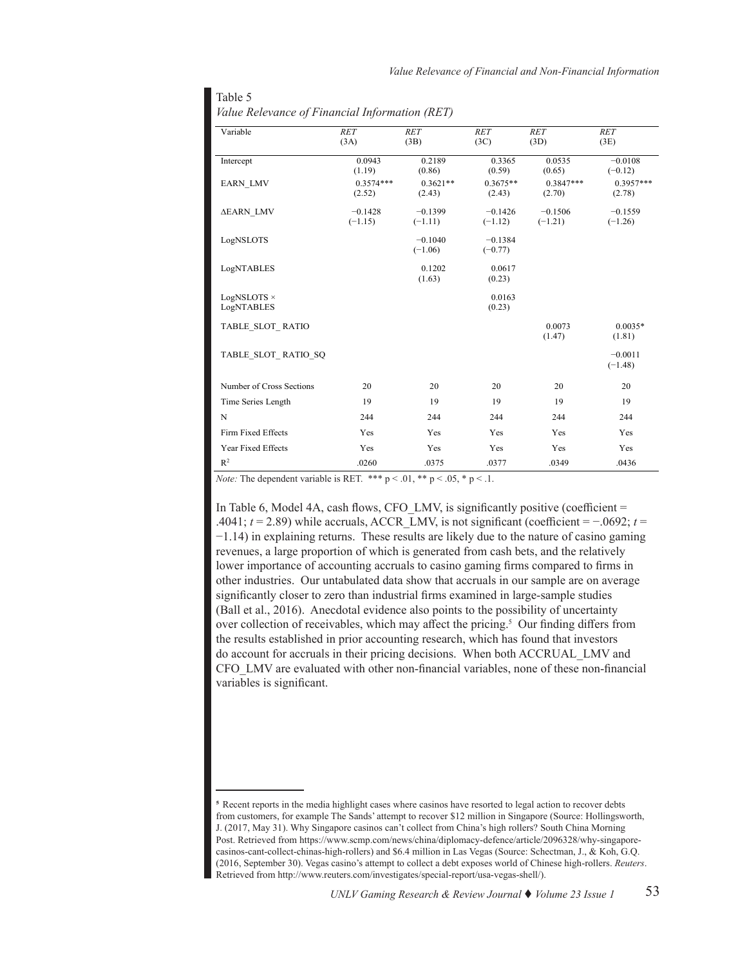| Variable                  | $\overline{RET}$       | $\overline{RET}$       | $\overline{RET}$       | $\overline{RET}$       | $\overline{RET}$       |
|---------------------------|------------------------|------------------------|------------------------|------------------------|------------------------|
|                           | (3A)                   | (3B)                   | (3C)                   | (3D)                   | (3E)                   |
| Intercept                 | 0.0943<br>(1.19)       | 0.2189<br>(0.86)       | 0.3365<br>(0.59)       | 0.0535<br>(0.65)       | $-0.0108$<br>$(-0.12)$ |
| <b>EARN LMV</b>           | $0.3574***$<br>(2.52)  | $0.3621**$<br>(2.43)   | $0.3675**$<br>(2.43)   | $0.3847***$<br>(2.70)  | $0.3957***$<br>(2.78)  |
| <b>AEARN LMV</b>          | $-0.1428$<br>$(-1.15)$ | $-0.1399$<br>$(-1.11)$ | $-0.1426$<br>$(-1.12)$ | $-0.1506$<br>$(-1.21)$ | $-0.1559$<br>$(-1.26)$ |
| LogNSLOTS                 |                        | $-0.1040$<br>$(-1.06)$ | $-0.1384$<br>$(-0.77)$ |                        |                        |
| LogNTABLES                |                        | 0.1202<br>(1.63)       | 0.0617<br>(0.23)       |                        |                        |
| LogNSLOTS ×<br>LogNTABLES |                        |                        | 0.0163<br>(0.23)       |                        |                        |
| TABLE SLOT RATIO          |                        |                        |                        | 0.0073<br>(1.47)       | $0.0035*$<br>(1.81)    |
| TABLE SLOT RATIO SQ       |                        |                        |                        |                        | $-0.0011$<br>$(-1.48)$ |
| Number of Cross Sections  | 20                     | 20                     | 20                     | 20                     | 20                     |
| Time Series Length        | 19                     | 19                     | 19                     | 19                     | 19                     |
| N                         | 244                    | 244                    | 244                    | 244                    | 244                    |
| Firm Fixed Effects        | Yes                    | Yes                    | Yes                    | Yes                    | Yes                    |
| Year Fixed Effects        | Yes                    | Yes                    | Yes                    | Yes                    | Yes                    |
| R <sup>2</sup>            | .0260                  | .0375                  | .0377                  | .0349                  | .0436                  |

|  | Value Relevance of Financial Information (RET) |  |
|--|------------------------------------------------|--|
|  |                                                |  |

Table 5

*Note:* The dependent variable is RET. \*\*\*  $p < .01$ , \*\*  $p < .05$ , \*  $p < .1$ .

In Table 6, Model 4A, cash flows, CFO LMV, is significantly positive (coefficient  $=$ .4041;  $t = 2.89$ ) while accruals, ACCR\_LMV, is not significant (coefficient =  $-0.692$ ;  $t =$ −1.14) in explaining returns. These results are likely due to the nature of casino gaming revenues, a large proportion of which is generated from cash bets, and the relatively lower importance of accounting accruals to casino gaming firms compared to firms in other industries. Our untabulated data show that accruals in our sample are on average significantly closer to zero than industrial firms examined in large-sample studies (Ball et al., 2016). Anecdotal evidence also points to the possibility of uncertainty over collection of receivables, which may affect the pricing.<sup>5</sup> Our finding differs from the results established in prior accounting research, which has found that investors do account for accruals in their pricing decisions. When both ACCRUAL\_LMV and CFO\_LMV are evaluated with other non-financial variables, none of these non-financial variables is significant.

**<sup>5</sup>** Recent reports in the media highlight cases where casinos have resorted to legal action to recover debts from customers, for example The Sands' attempt to recover \$12 million in Singapore (Source: Hollingsworth, J. (2017, May 31). Why Singapore casinos can't collect from China's high rollers? South China Morning Post. Retrieved from [https://www.scmp.com/news/china/diplomacy-defence/article/2096328/why-singapore](https://www.scmp.com/news/china/diplomacy-defence/article/2096328/why-singapore-casinos-cant-collect)[casinos-cant-collect-chinas-high-rollers\)](https://www.scmp.com/news/china/diplomacy-defence/article/2096328/why-singapore-casinos-cant-collect) and \$6.4 million in Las Vegas (Source: Schectman, J., & Koh, G.Q. (2016, September 30). Vegas casino's attempt to collect a debt exposes world of Chinese high-rollers. *Reuters*. Retrieved from <http://www.reuters.com/investigates/special-report/usa-vegas-shell/>).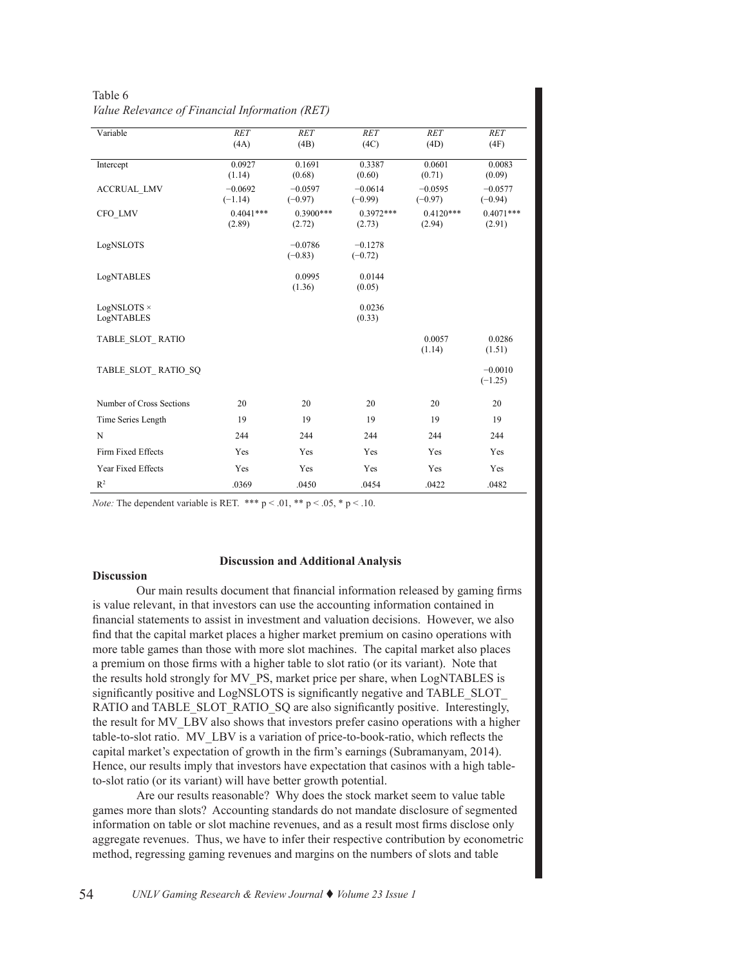| Variable                 | <b>RET</b>             | <b>RET</b>             | $\overline{RET}$       | RET                    | <b>RET</b>             |
|--------------------------|------------------------|------------------------|------------------------|------------------------|------------------------|
|                          | (4A)                   | (4B)                   | (4C)                   | (4D)                   | (4F)                   |
| Intercept                | 0.0927                 | 0.1691                 | 0.3387                 | 0.0601                 | 0.0083                 |
|                          | (1.14)                 | (0.68)                 | (0.60)                 | (0.71)                 | (0.09)                 |
| <b>ACCRUAL LMV</b>       | $-0.0692$<br>$(-1.14)$ | $-0.0597$<br>$(-0.97)$ | $-0.0614$<br>$(-0.99)$ | $-0.0595$<br>$(-0.97)$ | $-0.0577$<br>$(-0.94)$ |
| CFO LMV                  | $0.4041***$<br>(2.89)  | $0.3900***$<br>(2.72)  | $0.3972***$<br>(2.73)  | $0.4120***$<br>(2.94)  | $0.4071***$<br>(2.91)  |
| LogNSLOTS                |                        | $-0.0786$<br>$(-0.83)$ | $-0.1278$<br>$(-0.72)$ |                        |                        |
| LogNTABLES               |                        | 0.0995<br>(1.36)       | 0.0144<br>(0.05)       |                        |                        |
| LogNSLOTS ×              |                        |                        | 0.0236                 |                        |                        |
| LogNTABLES               |                        |                        | (0.33)                 |                        |                        |
| TABLE SLOT RATIO         |                        |                        |                        | 0.0057<br>(1.14)       | 0.0286<br>(1.51)       |
| TABLE SLOT RATIO SQ      |                        |                        |                        |                        | $-0.0010$<br>$(-1.25)$ |
| Number of Cross Sections | 20                     | 20                     | 20                     | 20                     | 20                     |
| Time Series Length       | 19                     | 19                     | 19                     | 19                     | 19                     |
| $\mathbf N$              | 244                    | 244                    | 244                    | 244                    | 244                    |
| Firm Fixed Effects       | Yes                    | Yes                    | Yes                    | Yes                    | Yes                    |
| Year Fixed Effects       | Yes                    | Yes                    | Yes                    | Yes                    | Yes                    |
| $R^2$                    | .0369                  | .0450                  | .0454                  | .0422                  | .0482                  |

| Table 6                                        |  |
|------------------------------------------------|--|
| Value Relevance of Financial Information (RET) |  |

*Note:* The dependent variable is RET. \*\*\*  $p < .01$ , \*\*  $p < .05$ , \*  $p < .10$ .

#### **Discussion and Additional Analysis**

# **Discussion**

Our main results document that financial information released by gaming firms is value relevant, in that investors can use the accounting information contained in financial statements to assist in investment and valuation decisions. However, we also find that the capital market places a higher market premium on casino operations with more table games than those with more slot machines. The capital market also places a premium on those firms with a higher table to slot ratio (or its variant). Note that the results hold strongly for MV\_PS, market price per share, when LogNTABLES is significantly positive and LogNSLOTS is significantly negative and TABLE\_SLOT RATIO and TABLE\_SLOT\_RATIO\_SQ are also significantly positive. Interestingly, the result for MV\_LBV also shows that investors prefer casino operations with a higher table-to-slot ratio. MV\_LBV is a variation of price-to-book-ratio, which reflects the capital market's expectation of growth in the firm's earnings (Subramanyam, 2014). Hence, our results imply that investors have expectation that casinos with a high tableto-slot ratio (or its variant) will have better growth potential.

Are our results reasonable? Why does the stock market seem to value table games more than slots? Accounting standards do not mandate disclosure of segmented information on table or slot machine revenues, and as a result most firms disclose only aggregate revenues. Thus, we have to infer their respective contribution by econometric method, regressing gaming revenues and margins on the numbers of slots and table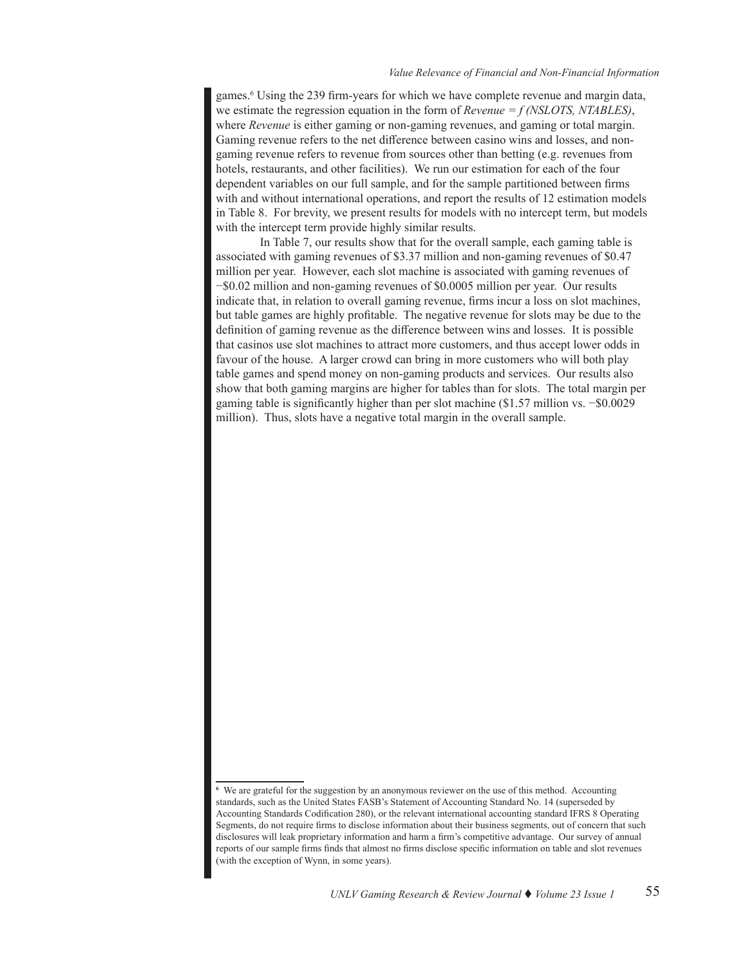games.<sup>6</sup> Using the 239 firm-years for which we have complete revenue and margin data, we estimate the regression equation in the form of *Revenue = f (NSLOTS, NTABLES)*, where *Revenue* is either gaming or non-gaming revenues, and gaming or total margin. Gaming revenue refers to the net difference between casino wins and losses, and nongaming revenue refers to revenue from sources other than betting (e.g. revenues from hotels, restaurants, and other facilities). We run our estimation for each of the four dependent variables on our full sample, and for the sample partitioned between firms with and without international operations, and report the results of 12 estimation models in Table 8. For brevity, we present results for models with no intercept term, but models with the intercept term provide highly similar results.

In Table 7, our results show that for the overall sample, each gaming table is associated with gaming revenues of \$3.37 million and non-gaming revenues of \$0.47 million per year. However, each slot machine is associated with gaming revenues of −\$0.02 million and non-gaming revenues of \$0.0005 million per year. Our results indicate that, in relation to overall gaming revenue, firms incur a loss on slot machines, but table games are highly profitable. The negative revenue for slots may be due to the definition of gaming revenue as the difference between wins and losses. It is possible that casinos use slot machines to attract more customers, and thus accept lower odds in favour of the house. A larger crowd can bring in more customers who will both play table games and spend money on non-gaming products and services. Our results also show that both gaming margins are higher for tables than for slots. The total margin per gaming table is significantly higher than per slot machine (\$1.57 million vs. −\$0.0029 million). Thus, slots have a negative total margin in the overall sample.

**<sup>6</sup>** We are grateful for the suggestion by an anonymous reviewer on the use of this method. Accounting standards, such as the United States FASB's Statement of Accounting Standard No. 14 (superseded by Accounting Standards Codification 280), or the relevant international accounting standard IFRS 8 Operating Segments, do not require firms to disclose information about their business segments, out of concern that such disclosures will leak proprietary information and harm a firm's competitive advantage. Our survey of annual reports of our sample firms finds that almost no firms disclose specific information on table and slot revenues (with the exception of Wynn, in some years).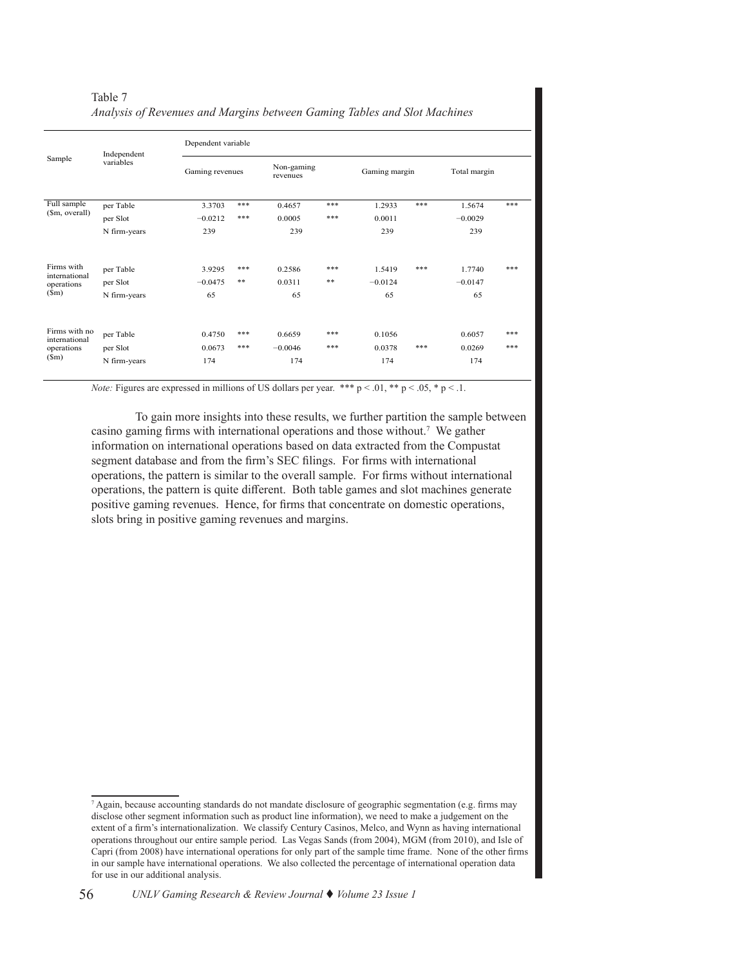|                                | Independent  | Dependent variable |     |                        |     |               |     |              |     |
|--------------------------------|--------------|--------------------|-----|------------------------|-----|---------------|-----|--------------|-----|
| Sample                         | variables    | Gaming revenues    |     | Non-gaming<br>revenues |     | Gaming margin |     | Total margin |     |
| Full sample                    | per Table    | 3.3703             | *** | 0.4657                 | *** | 1.2933        | *** | 1.5674       | *** |
| (\$m, overall)                 | per Slot     | $-0.0212$          | *** | 0.0005                 | *** | 0.0011        |     | $-0.0029$    |     |
|                                | N firm-years | 239                |     | 239                    |     | 239           |     | 239          |     |
| Firms with<br>international    | per Table    | 3.9295             | *** | 0.2586                 | *** | 1.5419        | *** | 1.7740       | *** |
| operations                     | per Slot     | $-0.0475$          | **  | 0.0311                 | **  | $-0.0124$     |     | $-0.0147$    |     |
| (Sm)                           | N firm-years | 65                 |     | 65                     |     | 65            |     | 65           |     |
| Firms with no<br>international | per Table    | 0.4750             | *** | 0.6659                 | *** | 0.1056        |     | 0.6057       | *** |
| operations                     | per Slot     | 0.0673             | *** | $-0.0046$              | *** | 0.0378        | *** | 0.0269       | *** |
| $(\mathsf{Sm})$                | N firm-years | 174                |     | 174                    |     | 174           |     | 174          |     |

| Table 7                                                                  |  |  |  |
|--------------------------------------------------------------------------|--|--|--|
| Analysis of Revenues and Margins between Gaming Tables and Slot Machines |  |  |  |

*Note:* Figures are expressed in millions of US dollars per year. \*\*\*  $p < .01$ , \*\*  $p < .05$ , \*  $p < .1$ .

To gain more insights into these results, we further partition the sample between casino gaming firms with international operations and those without.<sup>7</sup> We gather information on international operations based on data extracted from the Compustat segment database and from the firm's SEC filings. For firms with international operations, the pattern is similar to the overall sample. For firms without international operations, the pattern is quite different. Both table games and slot machines generate positive gaming revenues. Hence, for firms that concentrate on domestic operations, slots bring in positive gaming revenues and margins.

<sup>7</sup> Again, because accounting standards do not mandate disclosure of geographic segmentation (e.g. firms may disclose other segment information such as product line information), we need to make a judgement on the extent of a firm's internationalization. We classify Century Casinos, Melco, and Wynn as having international operations throughout our entire sample period. Las Vegas Sands (from 2004), MGM (from 2010), and Isle of Capri (from 2008) have international operations for only part of the sample time frame. None of the other firms in our sample have international operations. We also collected the percentage of international operation data for use in our additional analysis.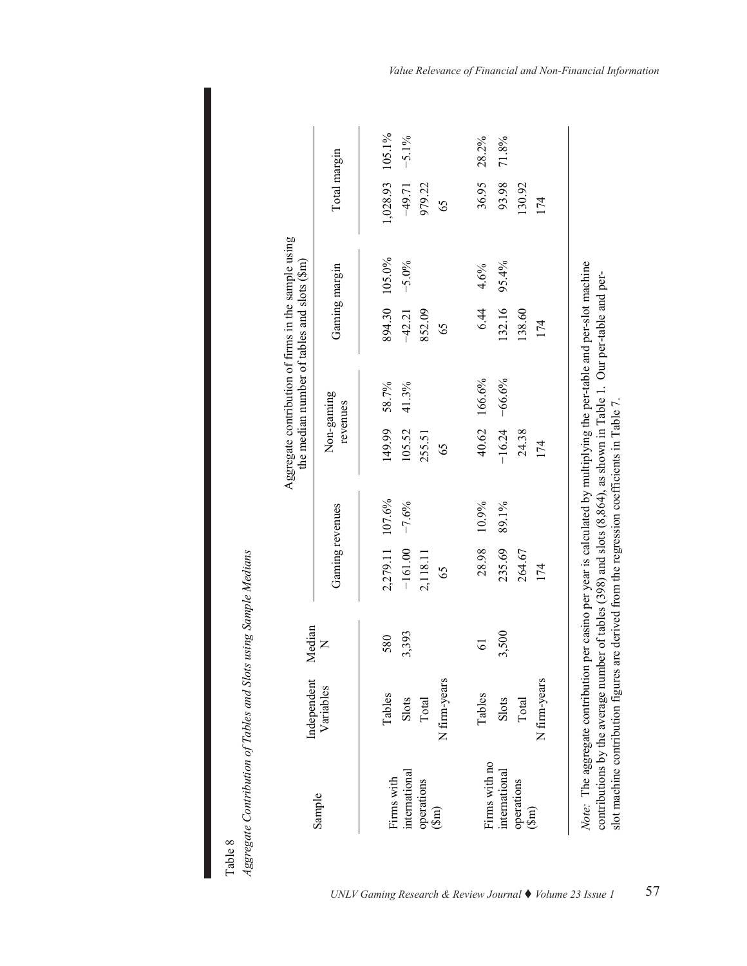|                                           | Independent                                                                                                                                                                                                           | Median       |                                          |         | Aggregate contribution of firms in the sample using |                | the median number of tables and slots (\$m) |                   |                                       |          |
|-------------------------------------------|-----------------------------------------------------------------------------------------------------------------------------------------------------------------------------------------------------------------------|--------------|------------------------------------------|---------|-----------------------------------------------------|----------------|---------------------------------------------|-------------------|---------------------------------------|----------|
| Sample                                    | Variables                                                                                                                                                                                                             | $\mathsf{z}$ | Gaming revenues                          |         | Non-gaming<br>revenues                              |                | Gaming margin                               |                   | Total margin                          |          |
| international<br>Firms with<br>operations | Tables<br>Slots<br>Total                                                                                                                                                                                              | 3,393<br>580 | 2,279.11 107.6%<br>$-161.00$<br>2,118.11 | $-7.6%$ | 149.99<br>105.52<br>255.51                          | 58.7%<br>41.3% | 894.30<br>$-42.21$<br>852.09                | 105.0%<br>$-5.0%$ | 1,028.93 105.1%<br>$-49.71$<br>979.22 | $-5.1\%$ |
| $(\text{sm})$                             | N firm-years                                                                                                                                                                                                          |              | 65                                       |         | 65                                                  |                | 65                                          |                   | 65                                    |          |
| Firms with no                             | Tables                                                                                                                                                                                                                | 61           | 28.98                                    | 10.9%   |                                                     | 40.62 166.6%   | 6.44                                        | 4.6%              | 36.95                                 | 28.2%    |
| international                             | Slots                                                                                                                                                                                                                 | 3,500        | 235.69                                   | 89.1%   | $-16.24$                                            | $-66.6%$       | 132.16                                      | 95.4%             | 93.98                                 | 71.8%    |
| operations                                | Total                                                                                                                                                                                                                 |              | 264.67                                   |         | 24.38                                               |                | 138.60                                      |                   | 130.92                                |          |
| $\binom{3m}{2}$                           | N firm-years                                                                                                                                                                                                          |              | 174                                      |         | 174                                                 |                | 174                                         |                   | 174                                   |          |
|                                           |                                                                                                                                                                                                                       |              |                                          |         |                                                     |                |                                             |                   |                                       |          |
|                                           | Note: The aggregate contribution per casino per year is calculated by multiplying the per-table and per-slot machine                                                                                                  |              |                                          |         |                                                     |                |                                             |                   |                                       |          |
|                                           | contributions by the average number of tables $(398)$ and slots $(8,864)$ , as shown in Table 1. Our per-table and per-<br>slot machine contribution figures are derived from the regression coefficients in Table 7. |              |                                          |         |                                                     |                |                                             |                   |                                       |          |

Aggregate Contribution of Tables and Slots using Sample Medians *Aggregate Contribution of Tables and Slots using Sample Medians*  Table 8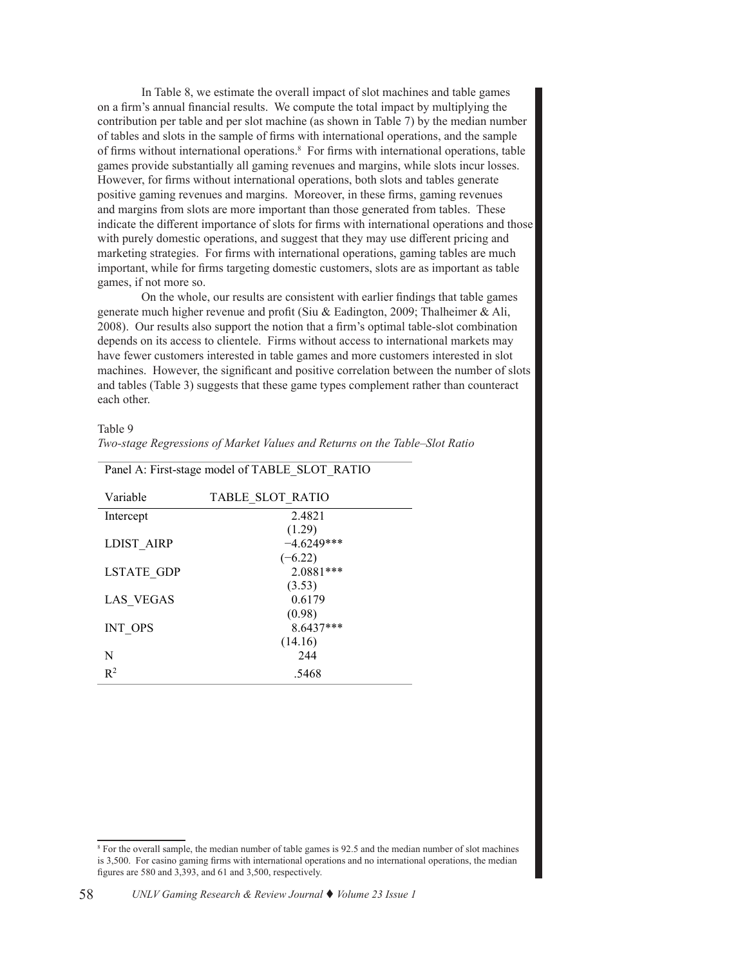In Table 8, we estimate the overall impact of slot machines and table games on a firm's annual financial results. We compute the total impact by multiplying the contribution per table and per slot machine (as shown in Table 7) by the median number of tables and slots in the sample of firms with international operations, and the sample of firms without international operations.<sup>8</sup> For firms with international operations, table games provide substantially all gaming revenues and margins, while slots incur losses. However, for firms without international operations, both slots and tables generate positive gaming revenues and margins. Moreover, in these firms, gaming revenues and margins from slots are more important than those generated from tables. These indicate the different importance of slots for firms with international operations and those with purely domestic operations, and suggest that they may use different pricing and marketing strategies. For firms with international operations, gaming tables are much important, while for firms targeting domestic customers, slots are as important as table games, if not more so.

On the whole, our results are consistent with earlier findings that table games generate much higher revenue and profit (Siu & Eadington, 2009; Thalheimer & Ali, 2008). Our results also support the notion that a firm's optimal table-slot combination depends on its access to clientele. Firms without access to international markets may have fewer customers interested in table games and more customers interested in slot machines. However, the significant and positive correlation between the number of slots and tables (Table 3) suggests that these game types complement rather than counteract each other.

 $T<sub>2</sub>$   $L<sub>1</sub> \approx 0$ 

| Table 9 |                                                                            |  |  |  |
|---------|----------------------------------------------------------------------------|--|--|--|
|         | Two-stage Regressions of Market Values and Returns on the Table–Slot Ratio |  |  |  |

| Variable   | TABLE SLOT RATIO |
|------------|------------------|
| Intercept  | 2.4821           |
|            | (1.29)           |
| LDIST AIRP | $-4.6249***$     |
|            | $(-6.22)$        |
| LSTATE GDP | $2.0881***$      |
|            | (3.53)           |
| LAS VEGAS  | 0.6179           |
|            | (0.98)           |
| INT OPS    | 8.6437***        |
|            | (14.16)          |
| N          | 2.44             |
| $R^2$      | .5468            |

Panel A: First-stage model of TABLE\_SLOT\_RATIO

*Two-stage Regressions of Market Values and Returns on the Table–Slot Ratio* 

<sup>&</sup>lt;sup>8</sup> For the overall sample, the median number of table games is 92.5 and the median number of slot machines is 3,500. For casino gaming firms with international operations and no international operations, the median figures are 580 and 3,393, and 61 and 3,500, respectively.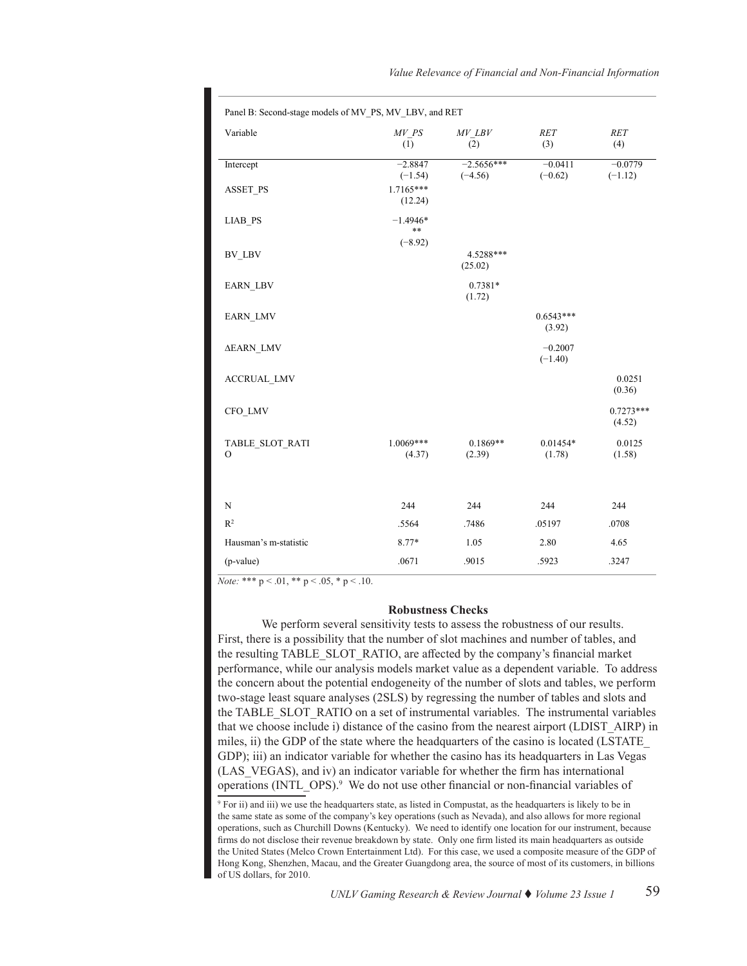| Variable                    | MV PS<br>(1)           | MV LBV<br>(2)             | <b>RET</b><br>(3)      | <b>RET</b><br>(4)      |
|-----------------------------|------------------------|---------------------------|------------------------|------------------------|
| Intercept                   | $-2.8847$<br>$(-1.54)$ | $-2.5656***$<br>$(-4.56)$ | $-0.0411$<br>$(-0.62)$ | $-0.0779$<br>$(-1.12)$ |
| <b>ASSET PS</b>             | 1.7165***<br>(12.24)   |                           |                        |                        |
| LIAB PS                     | $-1.4946*$<br>**       |                           |                        |                        |
| BV LBV                      | $(-8.92)$              | 4.5288***                 |                        |                        |
|                             |                        | (25.02)                   |                        |                        |
| <b>EARN LBV</b>             |                        | 0.7381*<br>(1.72)         |                        |                        |
| <b>EARN LMV</b>             |                        |                           | $0.6543***$<br>(3.92)  |                        |
| ΔEARN_LMV                   |                        |                           | $-0.2007$<br>$(-1.40)$ |                        |
| <b>ACCRUAL LMV</b>          |                        |                           |                        | 0.0251<br>(0.36)       |
| CFO LMV                     |                        |                           |                        | $0.7273***$<br>(4.52)  |
| TABLE SLOT RATI<br>$\Omega$ | $1.0069***$<br>(4.37)  | $0.1869**$<br>(2.39)      | $0.01454*$<br>(1.78)   | 0.0125<br>(1.58)       |
| N                           | 244                    | 244                       | 244                    | 244                    |
| $\mathbb{R}^2$              | .5564                  | .7486                     | .05197                 | .0708                  |
| Hausman's m-statistic       | 8.77*                  | 1.05                      | 2.80                   | 4.65                   |
| (p-value)                   | .0671                  | .9015                     | .5923                  | .3247                  |

*Note:* \*\*\* p < .01, \*\* p < .05, \* p < .10.

# **Robustness Checks**

We perform several sensitivity tests to assess the robustness of our results. First, there is a possibility that the number of slot machines and number of tables, and the resulting TABLE\_SLOT\_RATIO, are affected by the company's financial market performance, while our analysis models market value as a dependent variable. To address the concern about the potential endogeneity of the number of slots and tables, we perform two-stage least square analyses (2SLS) by regressing the number of tables and slots and the TABLE\_SLOT\_RATIO on a set of instrumental variables. The instrumental variables that we choose include i) distance of the casino from the nearest airport (LDIST\_AIRP) in miles, ii) the GDP of the state where the headquarters of the casino is located (LSTATE\_ GDP); iii) an indicator variable for whether the casino has its headquarters in Las Vegas (LAS\_VEGAS), and iv) an indicator variable for whether the firm has international operations (INTL\_OPS).<sup>9</sup> We do not use other financial or non-financial variables of

<sup>9</sup> For ii) and iii) we use the headquarters state, as listed in Compustat, as the headquarters is likely to be in the same state as some of the company's key operations (such as Nevada), and also allows for more regional operations, such as Churchill Downs (Kentucky). We need to identify one location for our instrument, because firms do not disclose their revenue breakdown by state. Only one firm listed its main headquarters as outside the United States (Melco Crown Entertainment Ltd). For this case, we used a composite measure of the GDP of Hong Kong, Shenzhen, Macau, and the Greater Guangdong area, the source of most of its customers, in billions of US dollars, for 2010.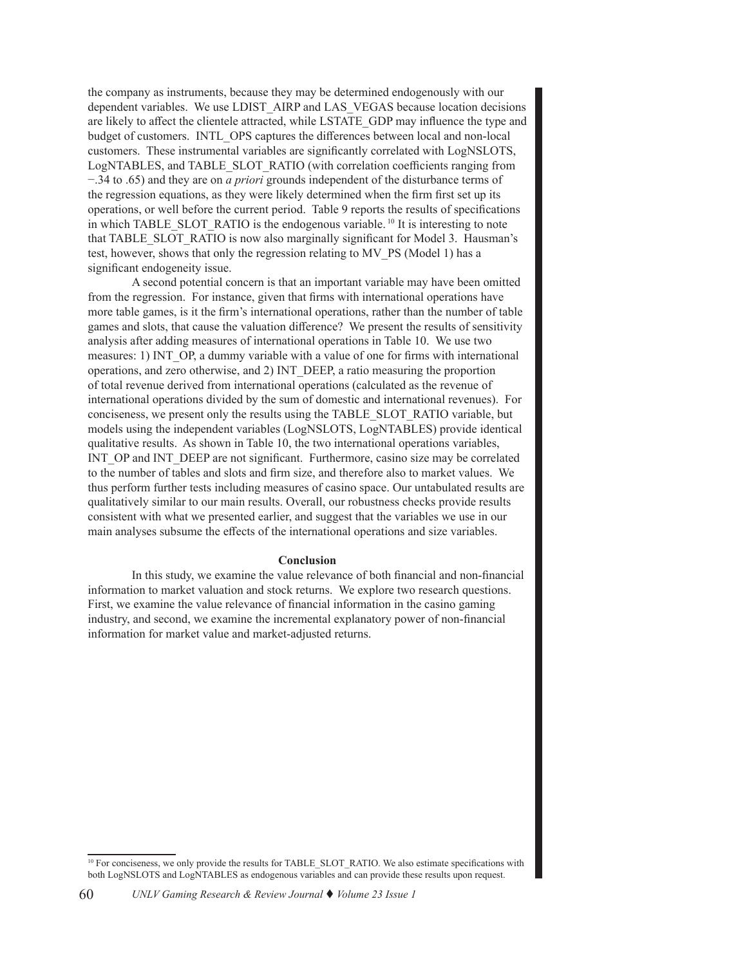the company as instruments, because they may be determined endogenously with our dependent variables. We use LDIST\_AIRP and LAS\_VEGAS because location decisions are likely to affect the clientele attracted, while LSTATE\_GDP may influence the type and budget of customers. INTL\_OPS captures the differences between local and non-local customers. These instrumental variables are significantly correlated with LogNSLOTS, LogNTABLES, and TABLE\_SLOT\_RATIO (with correlation coefficients ranging from −.34 to .65) and they are on *a priori* grounds independent of the disturbance terms of the regression equations, as they were likely determined when the firm first set up its operations, or well before the current period. Table 9 reports the results of specifications in which TABLE\_SLOT\_RATIO is the endogenous variable. <sup>10</sup> It is interesting to note that TABLE\_SLOT\_RATIO is now also marginally significant for Model 3. Hausman's test, however, shows that only the regression relating to MV\_PS (Model 1) has a significant endogeneity issue.

A second potential concern is that an important variable may have been omitted from the regression. For instance, given that firms with international operations have more table games, is it the firm's international operations, rather than the number of table games and slots, that cause the valuation difference? We present the results of sensitivity analysis after adding measures of international operations in Table 10. We use two measures: 1) INT OP, a dummy variable with a value of one for firms with international operations, and zero otherwise, and 2) INT\_DEEP, a ratio measuring the proportion of total revenue derived from international operations (calculated as the revenue of international operations divided by the sum of domestic and international revenues). For conciseness, we present only the results using the TABLE\_SLOT\_RATIO variable, but models using the independent variables (LogNSLOTS, LogNTABLES) provide identical qualitative results. As shown in Table 10, the two international operations variables, INT\_OP and INT\_DEEP are not significant. Furthermore, casino size may be correlated to the number of tables and slots and firm size, and therefore also to market values. We thus perform further tests including measures of casino space. Our untabulated results are qualitatively similar to our main results. Overall, our robustness checks provide results consistent with what we presented earlier, and suggest that the variables we use in our main analyses subsume the effects of the international operations and size variables.

#### **Conclusion**

In this study, we examine the value relevance of both financial and non-financial information to market valuation and stock returns. We explore two research questions. First, we examine the value relevance of financial information in the casino gaming industry, and second, we examine the incremental explanatory power of non-financial information for market value and market-adjusted returns.

<sup>&</sup>lt;sup>10</sup> For conciseness, we only provide the results for TABLE\_SLOT\_RATIO. We also estimate specifications with both LogNSLOTS and LogNTABLES as endogenous variables and can provide these results upon request.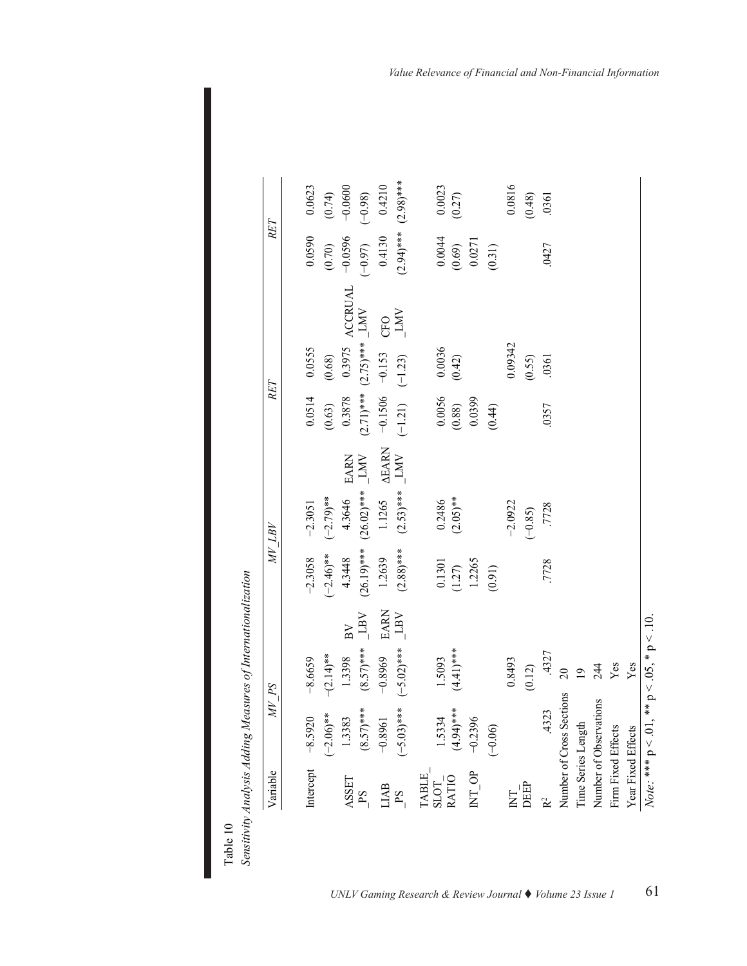| Variable                                                                         | $SP \overline{d}$           |                |                                  |                                                           | AL TB                |                           | RET                                                       |                           |                | RET                                                          |                     |
|----------------------------------------------------------------------------------|-----------------------------|----------------|----------------------------------|-----------------------------------------------------------|----------------------|---------------------------|-----------------------------------------------------------|---------------------------|----------------|--------------------------------------------------------------|---------------------|
|                                                                                  | Intercept $-8.5920$         | $-8.6659$      |                                  | $-2.3058$                                                 | $-2.3051$            |                           | 0.0514                                                    | 0.0555                    |                | 0.0590                                                       | 0.0623              |
|                                                                                  | $(-2.06)$ **                | $-(2.14)$ **   |                                  | $(-2.46)$ **                                              | $(-2.79)$ **         |                           | (0.63)                                                    | (0.68)                    |                | (0.70)                                                       |                     |
| ASSET                                                                            | 1.3383                      | 1.3398         | $\overline{B}V$                  | 4.3448                                                    | 4.3646               | EARN                      | 0.3878                                                    | 0.3975                    | <b>ACCRUAL</b> |                                                              | $(0.74)$<br>-0.0600 |
| PS                                                                               | $(8.57)$ ***                | $(8.57)$ ***   | $\overline{\rm LBV}$             | $(26.19)***$                                              | $(26.02)$ ***        | $\overline{\text{LMV}}$   |                                                           | $(2.71)*** (2.75)***$ LMV |                | $-0.0596$<br>$(-0.97)$                                       | $(-0.98)$           |
| <b>LIAB</b>                                                                      | $-0.8961$                   | $-0.8969$      |                                  | 1.2639                                                    | 1.1265               | $\frac{\Delta EARN}{LMV}$ | $-0.1506$                                                 | $-0.153$                  |                | 0.4130                                                       | 0.4210              |
| PS                                                                               | $(-5.03)$ ***               | $(-5.02)$ ***  | $\frac{\text{EARN}}{\text{LBV}}$ | $(2.88)***$                                               | $(2.53)$ ***         |                           | $(-1.21)$                                                 | $(-1.23)$                 | CFO            | $(2.94)***$                                                  | $(2.98)$ ***        |
| $\begin{array}{c} \mathtt{TABLE} \\ \mathtt{SLOT} \\ \mathtt{RATIO} \end{array}$ |                             |                |                                  |                                                           |                      |                           |                                                           |                           |                |                                                              |                     |
|                                                                                  | 1.5334                      | 1.5093         |                                  |                                                           |                      |                           |                                                           |                           |                |                                                              | 0.0023              |
|                                                                                  | $(4.94)$ ***                | $(4.41)$ ***   |                                  |                                                           | $0.2486$<br>(2.05)** |                           |                                                           | $(0.0036$<br>$(0.42)$     |                |                                                              | (0.27)              |
| $NT$ <sub>-</sub> $OP$                                                           | $-0.2396$                   |                |                                  | $\begin{array}{c} 0.1301 \\ (1.27) \\ 1.2265 \end{array}$ |                      |                           | $\begin{array}{c} 0.0056 \\ (0.88) \\ 0.0399 \end{array}$ |                           |                |                                                              |                     |
|                                                                                  | $(-0.06)$                   |                |                                  | (0.91)                                                    |                      |                           | (0.44)                                                    |                           |                | $\begin{array}{c} 0.0044 \\ (0.69) \\ 0.0271 \\ \end{array}$ |                     |
| <b>Z</b>                                                                         |                             | 0.8493         |                                  |                                                           | $-2.0922$            |                           |                                                           | 0.09342                   |                |                                                              | 0.0816              |
| DEEP                                                                             |                             | (0.12)         |                                  |                                                           | $(-0.85)$            |                           |                                                           | (0.55)                    |                |                                                              | (0.48)              |
|                                                                                  | 4323                        | .4327          |                                  | .7728                                                     | .7728                |                           | .0357                                                     | .0361                     |                | .0427                                                        | .0361               |
|                                                                                  | Number of Cross Sections 20 |                |                                  |                                                           |                      |                           |                                                           |                           |                |                                                              |                     |
|                                                                                  | Time Series Length          | $\overline{9}$ |                                  |                                                           |                      |                           |                                                           |                           |                |                                                              |                     |
|                                                                                  | Number of Observations      |                |                                  |                                                           |                      |                           |                                                           |                           |                |                                                              |                     |
| Firm Fixed Effects                                                               |                             | $244$<br>Yes   |                                  |                                                           |                      |                           |                                                           |                           |                |                                                              |                     |
| Year Fixed Effects                                                               |                             | Yes            |                                  |                                                           |                      |                           |                                                           |                           |                |                                                              |                     |

Table 10<br>Sensitivity Analysis Adding Measures of Internationalization *Sensitivity Analysis Adding Measures of Internationalization*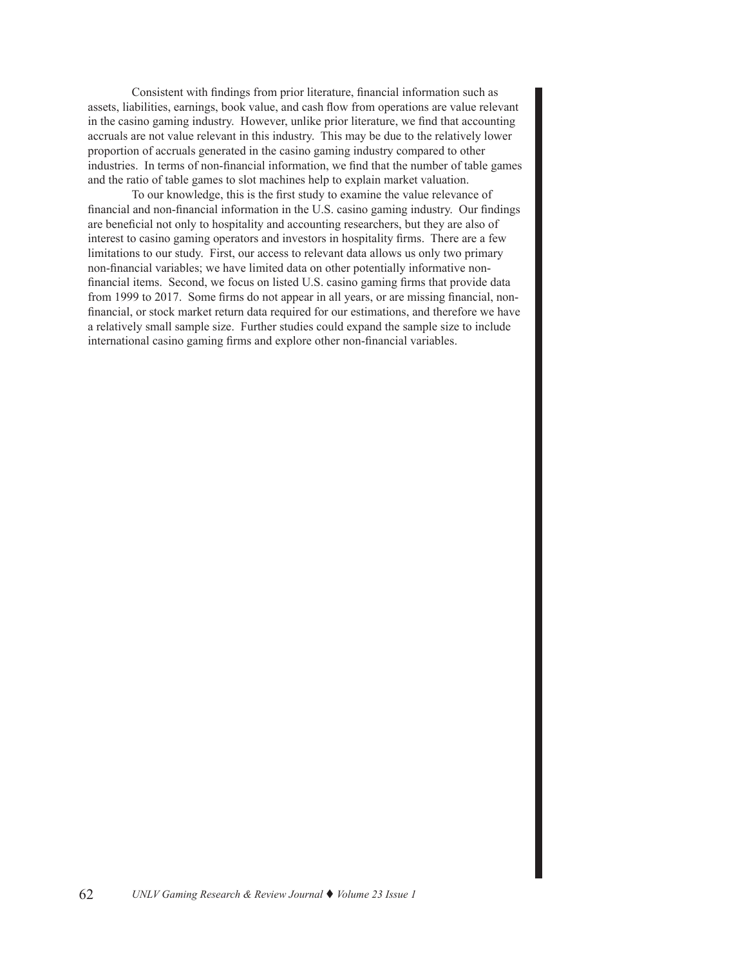Consistent with findings from prior literature, financial information such as assets, liabilities, earnings, book value, and cash flow from operations are value relevant in the casino gaming industry. However, unlike prior literature, we find that accounting accruals are not value relevant in this industry. This may be due to the relatively lower proportion of accruals generated in the casino gaming industry compared to other industries. In terms of non-financial information, we find that the number of table games and the ratio of table games to slot machines help to explain market valuation.

To our knowledge, this is the first study to examine the value relevance of financial and non-financial information in the U.S. casino gaming industry. Our findings are beneficial not only to hospitality and accounting researchers, but they are also of interest to casino gaming operators and investors in hospitality firms. There are a few limitations to our study. First, our access to relevant data allows us only two primary non-financial variables; we have limited data on other potentially informative nonfinancial items. Second, we focus on listed U.S. casino gaming firms that provide data from 1999 to 2017. Some firms do not appear in all years, or are missing financial, nonfinancial, or stock market return data required for our estimations, and therefore we have a relatively small sample size. Further studies could expand the sample size to include international casino gaming firms and explore other non-financial variables.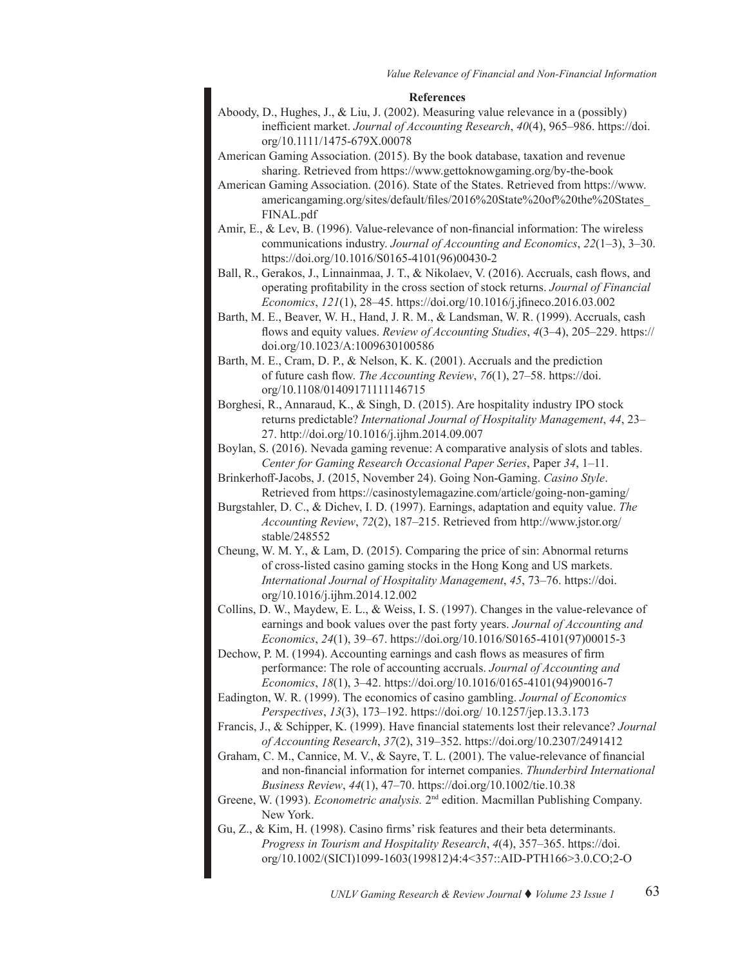#### **References**

- Aboody, D., Hughes, J., & Liu, J. (2002). Measuring value relevance in a (possibly) inefficient market. *Journal of Accounting Research*, *40*(4), 965–986. [https://doi.](https://doi.org/10.1111/1475-679X.00078
) [org/10.1111/1475-679X.00078](https://doi.org/10.1111/1475-679X.00078
)
- American Gaming Association. (2015). By the book database, taxation and revenue sharing. Retrieved from [https://www.gettoknowgaming.org/by-the-book](https://www.gettoknowgaming.org/by-the-book  )
- American Gaming Association. (2016). State of the States. Retrieved from [https://www.](https://www.americangaming.org/sites/default/files/2016%20State%20of%20the%20States_FINAL.pdf  ) [americangaming.org/sites/default/files/2016%20State%20of%20the%20States\\_](https://www.americangaming.org/sites/default/files/2016%20State%20of%20the%20States_FINAL.pdf  ) [FINAL.pdf](https://www.americangaming.org/sites/default/files/2016%20State%20of%20the%20States_FINAL.pdf  )
- Amir, E., & Lev, B. (1996). Value-relevance of non-financial information: The wireless communications industry. *Journal of Accounting and Economics*, *22*(1–3), 3–30. https://doi[.org/10.1016/S0165-4101\(96\)00430-2](https://doi.org/10.1016/S0165-4101(96)00430-2
)
- Ball, R., Gerakos, J., Linnainmaa, J. T., & Nikolaev, V. (2016). Accruals, cash flows, and operating profitability in the cross section of stock returns. *Journal of Financial Economics*, *121*(1), 28–45.<https://doi.org/10.1016/j.jfineco.2016.03.002>
- Barth, M. E., Beaver, W. H., Hand, J. R. M., & Landsman, W. R. (1999). Accruals, cash flows and equity values. *Review of Accounting Studies*, *4*(3–4), 205–229. [https://](https://doi.org/10.1023/A:1009630100586
) [doi.org/10.1023/A:1009630100586](https://doi.org/10.1023/A:1009630100586
)
- Barth, M. E., Cram, D. P., & Nelson, K. K. (2001). Accruals and the prediction of future cash flow. *The Accounting Review*, *76*(1), 27–58. [https://doi.](https://doi.org/10.1108/01409171111146715
) [org/10.1108/01409171111146715](https://doi.org/10.1108/01409171111146715
)
- Borghesi, R., Annaraud, K., & Singh, D. (2015). Are hospitality industry IPO stock returns predictable? *International Journal of Hospitality Management*, *44*, 23– 27. [http://doi.org/10.1016/j.ijhm.2014.09.007](http://doi.org/10.1016/j.ijhm.2014.09.007
)
- Boylan, S. (2016). Nevada gaming revenue: A comparative analysis of slots and tables. *Center for Gaming Research Occasional Paper Series*, Paper *34*, 1–11.
- Brinkerhoff-Jacobs, J. (2015, November 24). Going Non-Gaming. *Casino Style*. Retrieved from<https://casinostylemagazine.com/article/going-non-gaming/>
- Burgstahler, D. C., & Dichev, I. D. (1997). Earnings, adaptation and equity value. *The Accounting Review*, *72*(2), 187–215. Retrieved from [http://www.jstor.org/](http://www.jstor.org/stable/248552
) [stable/248552](http://www.jstor.org/stable/248552
)
- Cheung, W. M. Y., & Lam, D. (2015). Comparing the price of sin: Abnormal returns of cross-listed casino gaming stocks in the Hong Kong and US markets. *International Journal of Hospitality Management*, *45*, 73–76. [https://doi.](https://doi.org/10.1016/j.ijhm.2014.12.002
) [org/10.1016/j.ijhm.2014.12.002](https://doi.org/10.1016/j.ijhm.2014.12.002
)
- Collins, D. W., Maydew, E. L., & Weiss, I. S. (1997). Changes in the value-relevance of earnings and book values over the past forty years. *Journal of Accounting and Economics*, *24*(1), 39–67. https://doi[.org/10.1016/S0165-4101\(97\)00015-3](https://doi.org/10.1016/S0165-4101(97)00015-3
)
- Dechow, P. M. (1994). Accounting earnings and cash flows as measures of firm performance: The role of accounting accruals. *Journal of Accounting and Economics*, *18*(1), 3–42. https://doi[.org/10.1016/0165-4101\(94\)90016-7](https://doi.org/10.1016/0165-4101(94)90016-7
)
- Eadington, W. R. (1999). The economics of casino gambling. *Journal of Economics Perspectives*, *13*(3), 173–192. [https://doi.org/ 10.1257/jep.13.3.173](https://doi.org/ 10.1257/jep.13.3.173
)
- Francis, J., & Schipper, K. (1999). Have financial statements lost their relevance? *Journal of Accounting Research*, *37*(2), 319–352. [https://doi.org/10.2307/2491412](https://doi.org/10.2307/2491412
)
- Graham, C. M., Cannice, M. V., & Sayre, T. L. (2001). The value-relevance of financial and non-financial information for internet companies. *Thunderbird International Business Review*, *44*(1), 47–70. [https://doi.org/10.1002/tie.10.38](https://doi.org/10.1002/tie.10.38
)
- Greene, W. (1993). *Econometric analysis.* 2nd edition. Macmillan Publishing Company. New York.
- Gu, Z., & Kim, H. (1998). Casino firms' risk features and their beta determinants. *Progress in Tourism and Hospitality Research*, *4*(4), 357–365. [https://doi.](https://doi.
org/10.1002/(SICI)1099-1603(199812)4:4<357::AID-PTH166>3.0.CO;2-O) [org/10.1002/\(SICI\)1099-1603\(199812\)4:4<357::AID-PTH166>3.0.CO;2-O](https://doi.
org/10.1002/(SICI)1099-1603(199812)4:4<357::AID-PTH166>3.0.CO;2-O)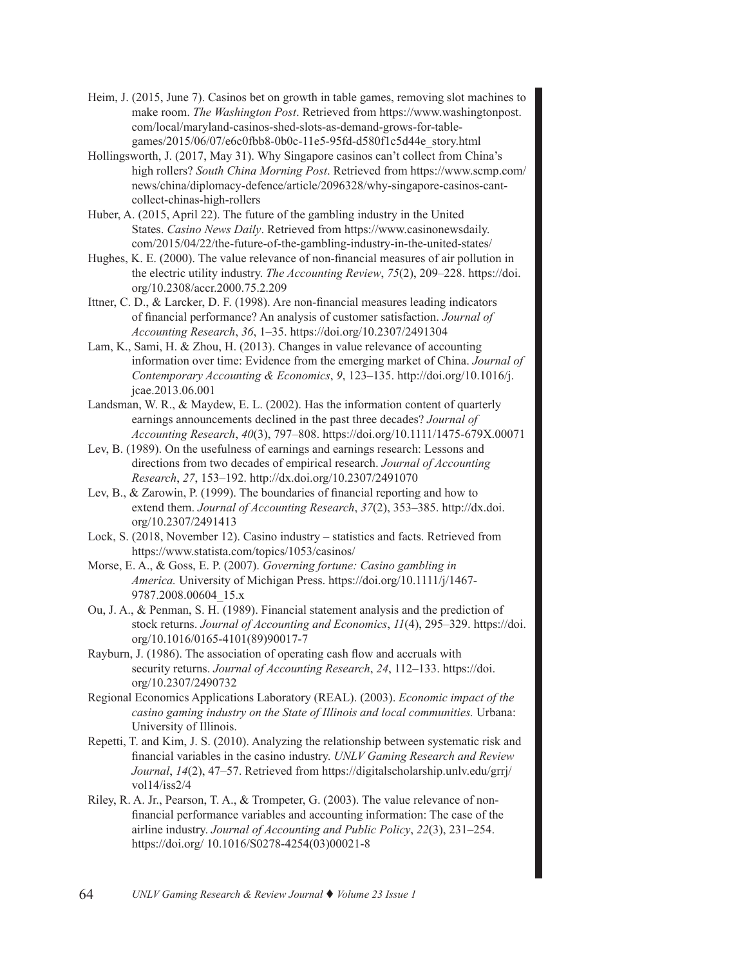- Heim, J. (2015, June 7). Casinos bet on growth in table games, removing slot machines to make room. *The Washington Post*. Retrieved from [https://www.washingtonpost.](https://www.washingtonpost.com/local/maryland-casinos-shed-slots-as-demand-grows-for-table-games/2015/06/07/e6c0fbb8-0b0c-11e5-95fd-d580f1c5d44e_story.html) [com/local/maryland-casinos-shed-slots-as-demand-grows-for-table](https://www.washingtonpost.com/local/maryland-casinos-shed-slots-as-demand-grows-for-table-games/2015/06/07/e6c0fbb8-0b0c-11e5-95fd-d580f1c5d44e_story.html)[games/2015/06/07/e6c0fbb8-0b0c-11e5-95fd-d580f1c5d44e\\_story.html](https://www.washingtonpost.com/local/maryland-casinos-shed-slots-as-demand-grows-for-table-games/2015/06/07/e6c0fbb8-0b0c-11e5-95fd-d580f1c5d44e_story.html)
- Hollingsworth, J. (2017, May 31). Why Singapore casinos can't collect from China's high rollers? *South China Morning Post*. Retrieved from [https://www.scmp.com/](https://www.scmp.com/news/china/diplomacy-defence/article/2096328/why-singapore-casinos-cant-collect-chinas-high-rollers
) [news/china/](https://www.scmp.com/news/china/diplomacy-defence/article/2096328/why-singapore-casinos-cant-collect-chinas-high-rollers
)diplomacy-defence/article/2096328/why-singapore-casinos-cantcollect-chinas-high-rollers
- Huber, A. (2015, April 22). The future of the gambling industry in the United States. *Casino News Daily*. Retrieved from https://www.casinonewsdaily. com/2015/04/22/the-future-of-the-gambling-industry-in-the-united-states[/](https://www.casinonewsdaily.com/2015/04/22/the-future-of-the-gambling-industry-in-the-united-states/
)
- Hughes, K. E. (2000). The value relevance of non-financial measures of air pollution in the electric utility industry. *The Accounting Review*, *75*(2), 209–228. [https://doi.](https://doi.org/10.2308/accr.2000.75.2.209
) org/[10.2308/accr.2000.75.2.209](https://doi.org/10.2308/accr.2000.75.2.209
)
- Ittner, C. D., & Larcker, D. F. (1998). Are non-financial measures leading indicators of financial performance? An analysis of customer satisfaction. *Journal of Accounting Research*, *36*, 1–35. [https://doi.org/10.2307/2491304](https://doi.org/10.2307/2491304
)
- Lam, K., Sami, H. & Zhou, H. (2013). Changes in value relevance of accounting information over time: Evidence from the emerging market of China. *Journal of Contemporary Accounting & Economics*, *9*, 123–135. [http://doi.org/10.1016/j.](http://doi.org/10.1016/j.jcae.2013.06.001
) [jcae.2013.06.001](http://doi.org/10.1016/j.jcae.2013.06.001
)
- Landsman, W. R., & Maydew, E. L. (2002). Has the information content of quarterly earnings announcements declined in the past three decades? *Journal of Accounting Research*, *40*(3), 797–808. https://doi[.org/10.1111/1475-679X.00071](https://doi.org/10.1111/1475-679X.00071
)
- Lev, B. (1989). On the usefulness of earnings and earnings research: Lessons and directions from two decades of empirical research. *Journal of Accounting Research*, *27*, 153–192. http://dx.doi[.org/10.2307/2491070](http://dx.doi.org/10.2307/2491070
)
- Lev, B., & Zarowin, P. (1999). The boundaries of financial reporting and how to extend them. *Journal of Accounting Research*, *37*(2), 353–385. [http://dx.doi.](http://dx.doi.org/10.2307/2491413
) [org/10.2307/2491413](http://dx.doi.org/10.2307/2491413
)
- Lock, S. (2018, November 12). Casino industry statistics and facts. Retrieved from [https://www.statista.com/topics/1053/casinos/](https://www.statista.com/topics/1053/casinos/ )
- Morse, E. A., & Goss, E. P. (2007). *Governing fortune: Casino gambling in America.* University of Michigan Press. [https://doi.org/10.1111/j/1467-]( https://doi.org/10.1111/j/1467-9787.2008.00604_15.x
) [9787.2008.00604\\_15.x]( https://doi.org/10.1111/j/1467-9787.2008.00604_15.x
)
- Ou, J. A., & Penman, S. H. (1989). Financial statement analysis and the prediction of stock returns. *Journal of Accounting and Economics*, *11*(4), 295–329. [https://doi.](https://doi.org/10.1016/0165-4101(89)90017-7
) [org/10.1016/0165-4101\(89\)90017-7](https://doi.org/10.1016/0165-4101(89)90017-7
)
- Rayburn, J. (1986). The association of operating cash flow and accruals with security returns. *Journal of Accounting Research*, *24*, 112–133. [https://doi.](https://doi.org/10.2307/2490732
) [org/10.2307/2490732](https://doi.org/10.2307/2490732
)
- Regional Economics Applications Laboratory (REAL). (2003). *Economic impact of the casino gaming industry on the State of Illinois and local communities.* Urbana: University of Illinois.
- Repetti, T. and Kim, J. S. (2010). Analyzing the relationship between systematic risk and financial variables in the casino industry. *UNLV Gaming Research and Review Journal*, *14*(2), 47–57. Retrieved from https://digitalscholarship.unlv.edu/grrj/ vol14/iss2/4
- Riley, R. A. Jr., Pearson, T. A., & Trompeter, G. (2003). The value relevance of nonfinancial performance variables and accounting information: The case of the airline industry. *Journal of Accounting and Public Policy*, *22*(3), 231–254. [https://doi.org/ 10.1016/S0278-4254\(03\)00021-8](https://doi.org/ 10.1016/S0278-4254(03)00021-8
)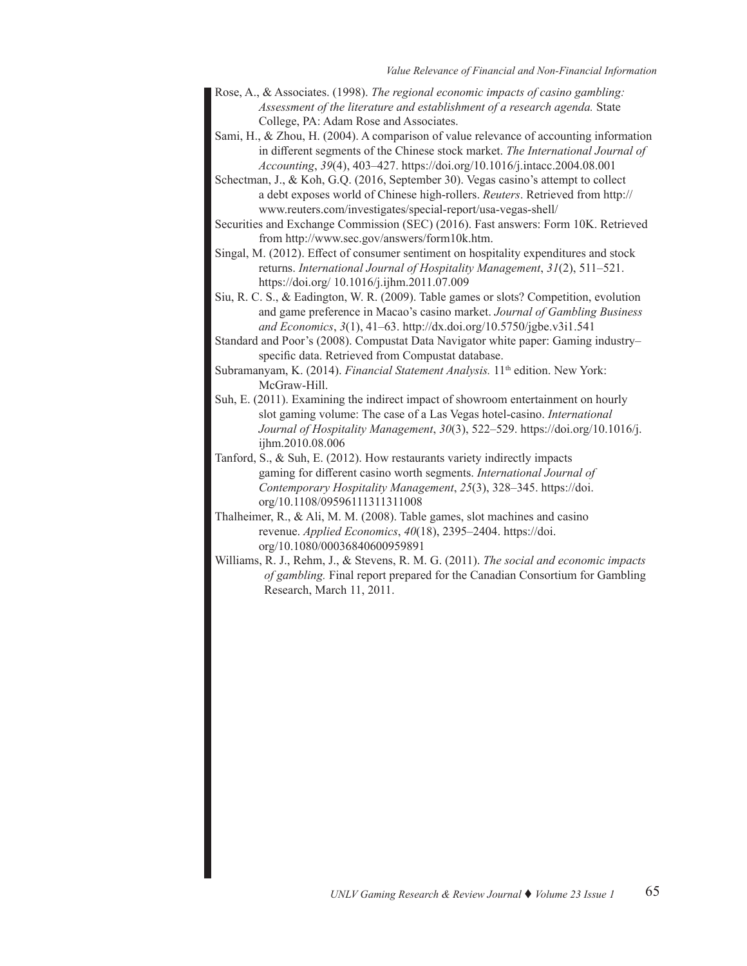- Rose, A., & Associates. (1998). *The regional economic impacts of casino gambling: Assessment of the literature and establishment of a research agenda.* State College, PA: Adam Rose and Associates.
- Sami, H., & Zhou, H. (2004). A comparison of value relevance of accounting information in different segments of the Chinese stock market. *The International Journal of Accounting*, *39*(4), 403–427. [https://doi.org/10.1016/j.intacc.2004.08.001](https://doi.org/10.1016/j.intacc.2004.08.001
)
- Schectman, J., & Koh, G.Q. (2016, September 30). Vegas casino's attempt to collect a debt exposes world of Chinese high-rollers. *Reuters*. Retrieved fro[m http://](http://www.reuters.com/investigates/special-report/usa-vegas-shell/   
) [www.reuters.com/investigates/special-report/usa-vegas-shell/](http://www.reuters.com/investigates/special-report/usa-vegas-shell/   
)
- Securities and Exchange Commission (SEC) (2016). Fast answers: Form 10K. Retrieved from<http://www.sec.gov/answers/form10k.htm>.
- Singal, M. (2012). Effect of consumer sentiment on hospitality expenditures and stock returns. *International Journal of Hospitality Management*, *31*(2), 511–521. [https://doi.org/ 10.1016/j.ijhm.2011.07.009](https://doi.org/ 10.1016/j.ijhm.2011.07.009
)
- Siu, R. C. S., & Eadington, W. R. (2009). Table games or slots? Competition, evolution and game preference in Macao's casino market. *Journal of Gambling Business and Economics*, *3*(1), 41–63. [http://dx.doi.org/10.5750/jgbe.v3i1.541](http://dx.doi.org/10.5750/jgbe.v3i1.541
)
- Standard and Poor's (2008). Compustat Data Navigator white paper: Gaming industry– specific data. Retrieved from Compustat database.
- Subramanyam, K. (2014). *Financial Statement Analysis*. 11<sup>th</sup> edition. New York: McGraw-Hill.
- Suh, E. (2011). Examining the indirect impact of showroom entertainment on hourly slot gaming volume: The case of a Las Vegas hotel-casino. *International Journal of Hospitality Management*, *30*(3), 522–529. [https://doi.org/10.1016/j.](https://doi.org/10.1016/j.ijhm.2010.08.006
) [ijhm.2010.08.006](https://doi.org/10.1016/j.ijhm.2010.08.006
)
- Tanford, S., & Suh, E. (2012). How restaurants variety indirectly impacts gaming for different casino worth segments. *International Journal of Contemporary Hospitality Management*, *25*(3), 328–345. [https://doi.](https://doi.org/10.1108/09596111311311008
) [org/10.1108/09596111311311008](https://doi.org/10.1108/09596111311311008
)
- Thalheimer, R., & Ali, M. M. (2008). Table games, slot machines and casino revenue. *Applied Economics*, *40*(18), 2395–2404. [https://doi.](https://doi.org/10.1080/00036840600959891
) [org/10.1080/00036840600959891](https://doi.org/10.1080/00036840600959891
)
- Williams, R. J., Rehm, J., & Stevens, R. M. G. (2011). *The social and economic impacts of gambling.* Final report prepared for the Canadian Consortium for Gambling Research, March 11, 2011.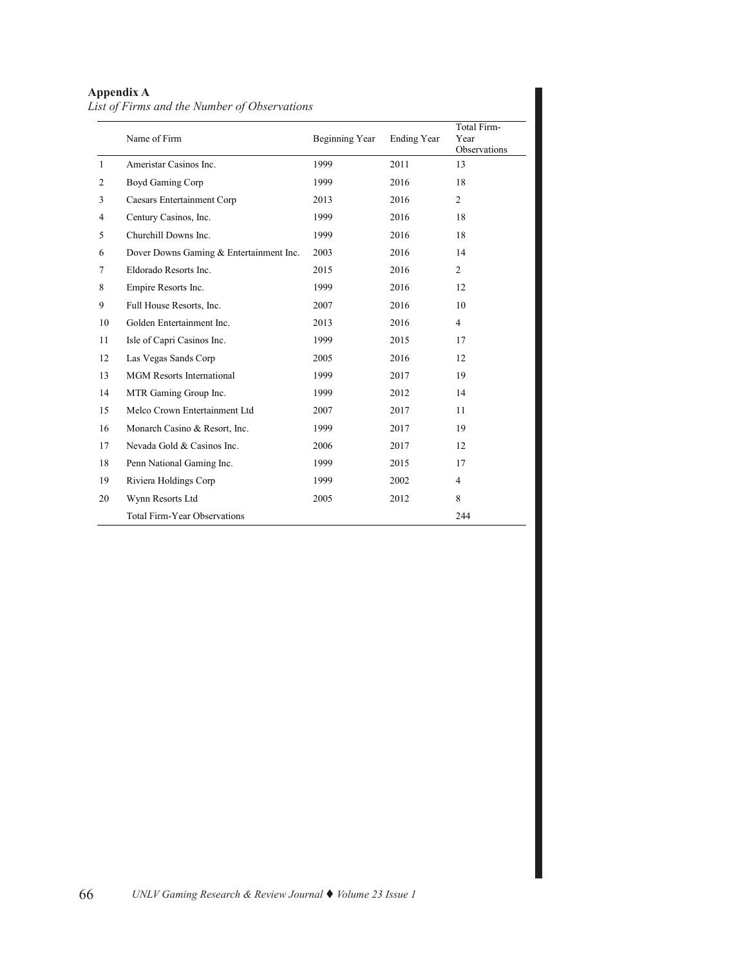# **Appendix A**

| List of Firms and the Number of Observations |  |
|----------------------------------------------|--|
|----------------------------------------------|--|

|                | Name of Firm                            | Beginning Year | <b>Ending Year</b> | Total Firm-<br>Year<br>Observations |
|----------------|-----------------------------------------|----------------|--------------------|-------------------------------------|
| $\mathbf{1}$   | Ameristar Casinos Inc.                  | 1999           | 2011               | 13                                  |
| $\overline{2}$ | Boyd Gaming Corp                        | 1999           | 2016               | 18                                  |
| 3              | <b>Caesars Entertainment Corp</b>       | 2013           | 2016               | $\overline{2}$                      |
| $\overline{4}$ | Century Casinos, Inc.                   | 1999           | 2016               | 18                                  |
| 5              | Churchill Downs Inc.                    | 1999           | 2016               | 18                                  |
| 6              | Dover Downs Gaming & Entertainment Inc. | 2003           | 2016               | 14                                  |
| 7              | Eldorado Resorts Inc.                   | 2015           | 2016               | $\overline{2}$                      |
| 8              | Empire Resorts Inc.                     | 1999           | 2016               | 12                                  |
| 9              | Full House Resorts, Inc.                | 2007           | 2016               | 10                                  |
| 10             | Golden Entertainment Inc.               | 2013           | 2016               | $\overline{4}$                      |
| 11             | Isle of Capri Casinos Inc.              | 1999           | 2015               | 17                                  |
| 12             | Las Vegas Sands Corp                    | 2005           | 2016               | 12                                  |
| 13             | <b>MGM</b> Resorts International        | 1999           | 2017               | 19                                  |
| 14             | MTR Gaming Group Inc.                   | 1999           | 2012               | 14                                  |
| 15             | Melco Crown Entertainment Ltd           | 2007           | 2017               | 11                                  |
| 16             | Monarch Casino & Resort, Inc.           | 1999           | 2017               | 19                                  |
| 17             | Nevada Gold & Casinos Inc.              | 2006           | 2017               | 12                                  |
| 18             | Penn National Gaming Inc.               | 1999           | 2015               | 17                                  |
| 19             | Riviera Holdings Corp                   | 1999           | 2002               | $\overline{4}$                      |
| 20             | Wynn Resorts Ltd                        | 2005           | 2012               | 8                                   |
|                | <b>Total Firm-Year Observations</b>     |                |                    | 244                                 |